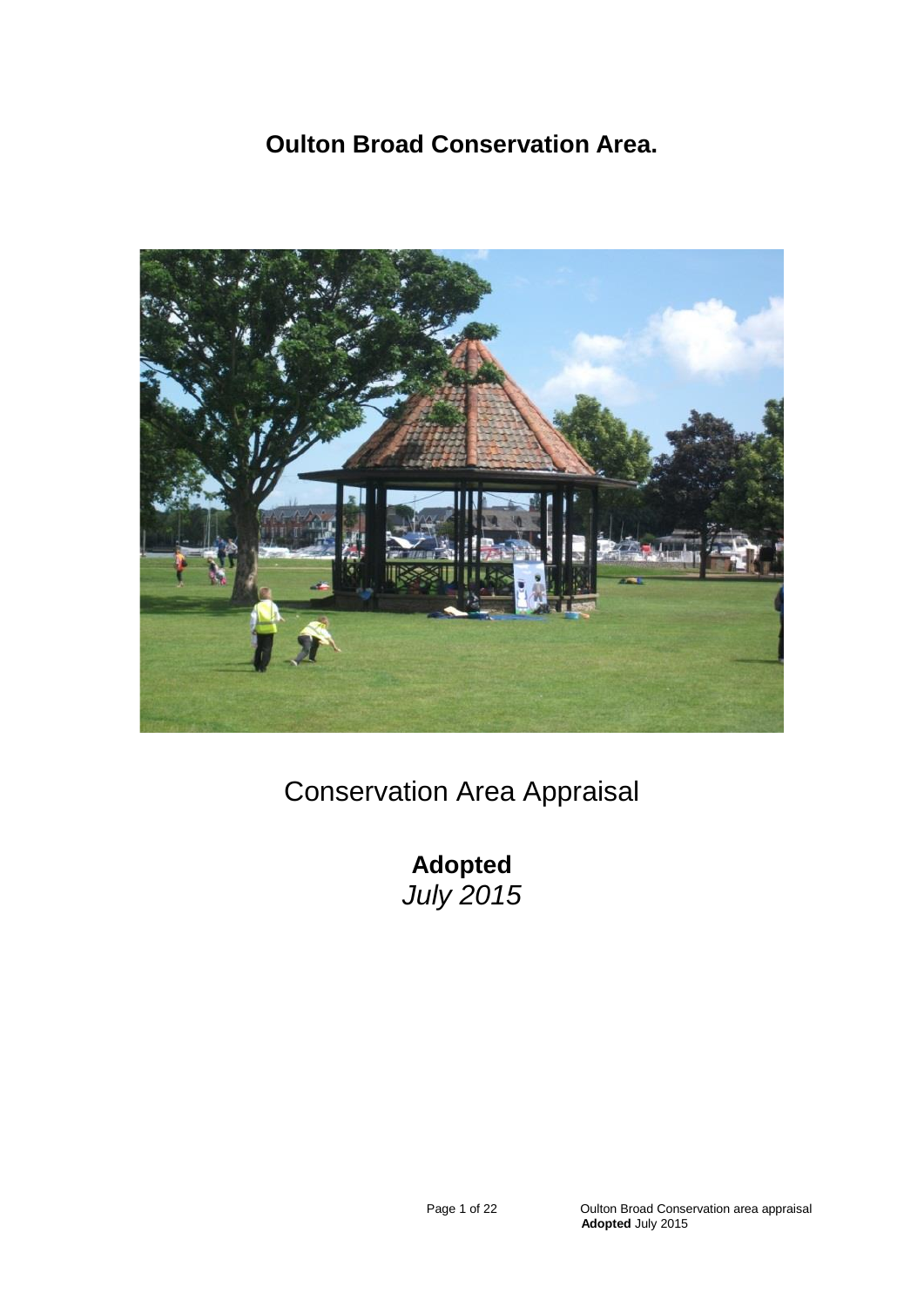# **Oulton Broad Conservation Area.**



# Conservation Area Appraisal

**Adopted**  *July 2015*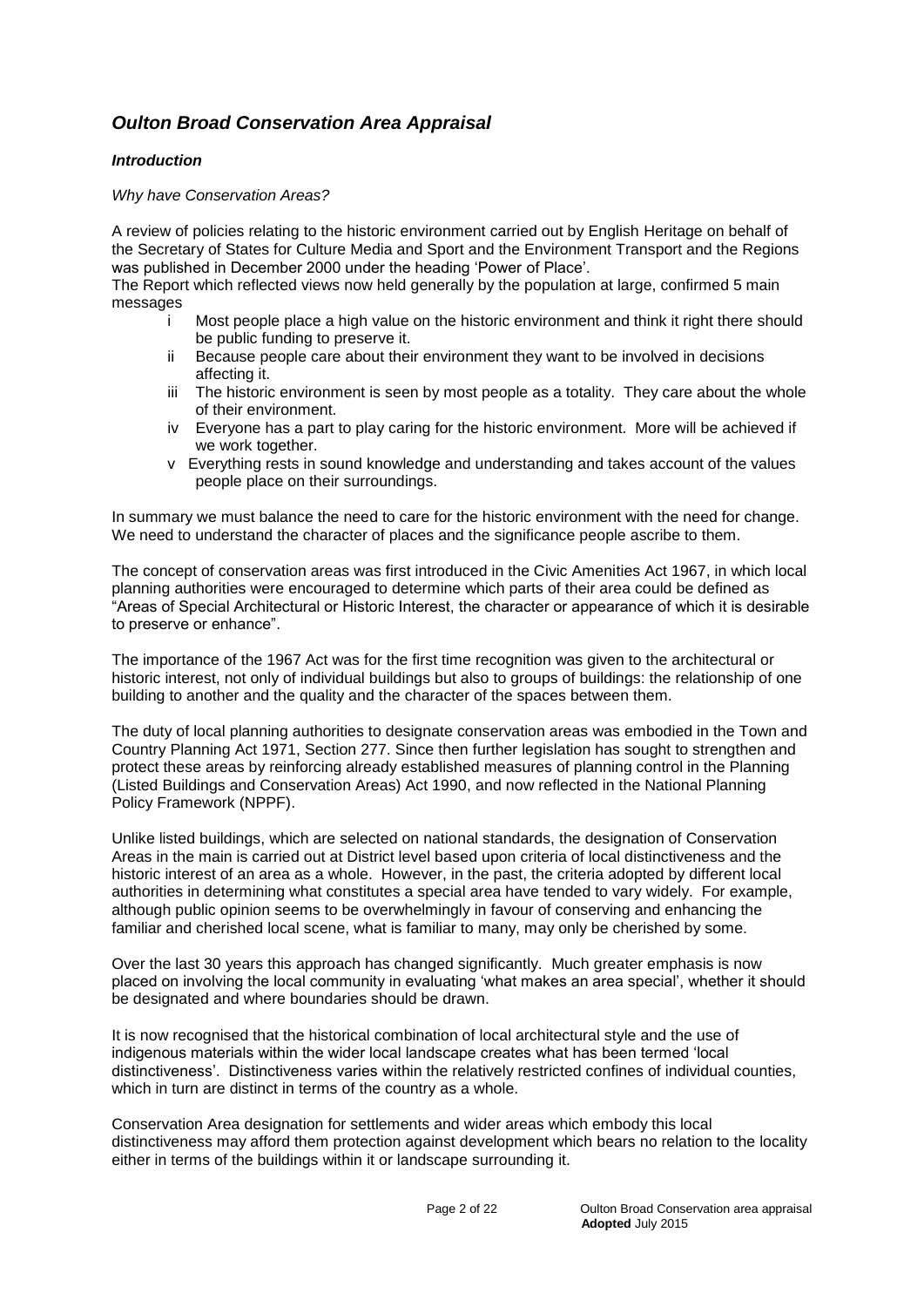# *Oulton Broad Conservation Area Appraisal*

## *Introduction*

#### *Why have Conservation Areas?*

A review of policies relating to the historic environment carried out by English Heritage on behalf of the Secretary of States for Culture Media and Sport and the Environment Transport and the Regions was published in December 2000 under the heading 'Power of Place'.

The Report which reflected views now held generally by the population at large, confirmed 5 main messages

- i Most people place a high value on the historic environment and think it right there should be public funding to preserve it.
- ii Because people care about their environment they want to be involved in decisions affecting it.
- iii The historic environment is seen by most people as a totality. They care about the whole of their environment.
- iv Everyone has a part to play caring for the historic environment. More will be achieved if we work together.
- v Everything rests in sound knowledge and understanding and takes account of the values people place on their surroundings.

In summary we must balance the need to care for the historic environment with the need for change. We need to understand the character of places and the significance people ascribe to them.

The concept of conservation areas was first introduced in the Civic Amenities Act 1967, in which local planning authorities were encouraged to determine which parts of their area could be defined as "Areas of Special Architectural or Historic Interest, the character or appearance of which it is desirable to preserve or enhance".

The importance of the 1967 Act was for the first time recognition was given to the architectural or historic interest, not only of individual buildings but also to groups of buildings: the relationship of one building to another and the quality and the character of the spaces between them.

The duty of local planning authorities to designate conservation areas was embodied in the Town and Country Planning Act 1971, Section 277. Since then further legislation has sought to strengthen and protect these areas by reinforcing already established measures of planning control in the Planning (Listed Buildings and Conservation Areas) Act 1990, and now reflected in the National Planning Policy Framework (NPPF).

Unlike listed buildings, which are selected on national standards, the designation of Conservation Areas in the main is carried out at District level based upon criteria of local distinctiveness and the historic interest of an area as a whole. However, in the past, the criteria adopted by different local authorities in determining what constitutes a special area have tended to vary widely. For example, although public opinion seems to be overwhelmingly in favour of conserving and enhancing the familiar and cherished local scene, what is familiar to many, may only be cherished by some.

Over the last 30 years this approach has changed significantly. Much greater emphasis is now placed on involving the local community in evaluating 'what makes an area special', whether it should be designated and where boundaries should be drawn.

It is now recognised that the historical combination of local architectural style and the use of indigenous materials within the wider local landscape creates what has been termed 'local distinctiveness'. Distinctiveness varies within the relatively restricted confines of individual counties, which in turn are distinct in terms of the country as a whole.

Conservation Area designation for settlements and wider areas which embody this local distinctiveness may afford them protection against development which bears no relation to the locality either in terms of the buildings within it or landscape surrounding it.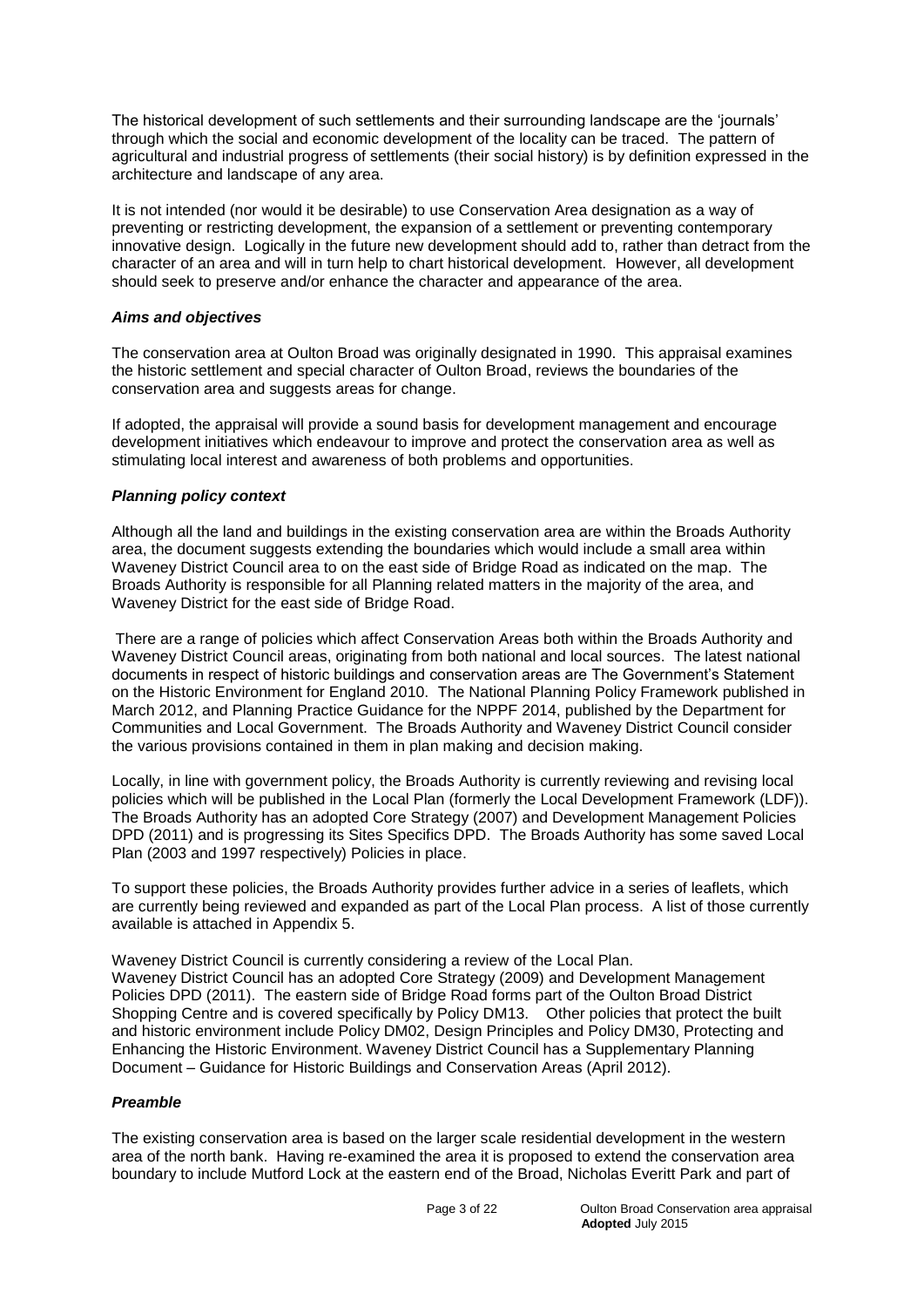The historical development of such settlements and their surrounding landscape are the 'journals' through which the social and economic development of the locality can be traced. The pattern of agricultural and industrial progress of settlements (their social history) is by definition expressed in the architecture and landscape of any area.

It is not intended (nor would it be desirable) to use Conservation Area designation as a way of preventing or restricting development, the expansion of a settlement or preventing contemporary innovative design. Logically in the future new development should add to, rather than detract from the character of an area and will in turn help to chart historical development. However, all development should seek to preserve and/or enhance the character and appearance of the area.

## *Aims and objectives*

The conservation area at Oulton Broad was originally designated in 1990. This appraisal examines the historic settlement and special character of Oulton Broad, reviews the boundaries of the conservation area and suggests areas for change.

If adopted, the appraisal will provide a sound basis for development management and encourage development initiatives which endeavour to improve and protect the conservation area as well as stimulating local interest and awareness of both problems and opportunities.

#### *Planning policy context*

Although all the land and buildings in the existing conservation area are within the Broads Authority area, the document suggests extending the boundaries which would include a small area within Waveney District Council area to on the east side of Bridge Road as indicated on the map. The Broads Authority is responsible for all Planning related matters in the majority of the area, and Waveney District for the east side of Bridge Road.

There are a range of policies which affect Conservation Areas both within the Broads Authority and Waveney District Council areas, originating from both national and local sources. The latest national documents in respect of historic buildings and conservation areas are The Government's Statement on the Historic Environment for England 2010. The National Planning Policy Framework published in March 2012, and Planning Practice Guidance for the NPPF 2014, published by the Department for Communities and Local Government. The Broads Authority and Waveney District Council consider the various provisions contained in them in plan making and decision making.

Locally, in line with government policy, the Broads Authority is currently reviewing and revising local policies which will be published in the Local Plan (formerly the Local Development Framework (LDF)). The Broads Authority has an adopted Core Strategy (2007) and Development Management Policies DPD (2011) and is progressing its Sites Specifics DPD. The Broads Authority has some saved Local Plan (2003 and 1997 respectively) Policies in place.

To support these policies, the Broads Authority provides further advice in a series of leaflets, which are currently being reviewed and expanded as part of the Local Plan process. A list of those currently available is attached in Appendix 5.

Waveney District Council is currently considering a review of the Local Plan. Waveney District Council has an adopted Core Strategy (2009) and Development Management Policies DPD (2011). The eastern side of Bridge Road forms part of the Oulton Broad District Shopping Centre and is covered specifically by Policy DM13. Other policies that protect the built and historic environment include Policy DM02, Design Principles and Policy DM30, Protecting and Enhancing the Historic Environment. Waveney District Council has a Supplementary Planning Document – Guidance for Historic Buildings and Conservation Areas (April 2012).

# *Preamble*

The existing conservation area is based on the larger scale residential development in the western area of the north bank. Having re-examined the area it is proposed to extend the conservation area boundary to include Mutford Lock at the eastern end of the Broad, Nicholas Everitt Park and part of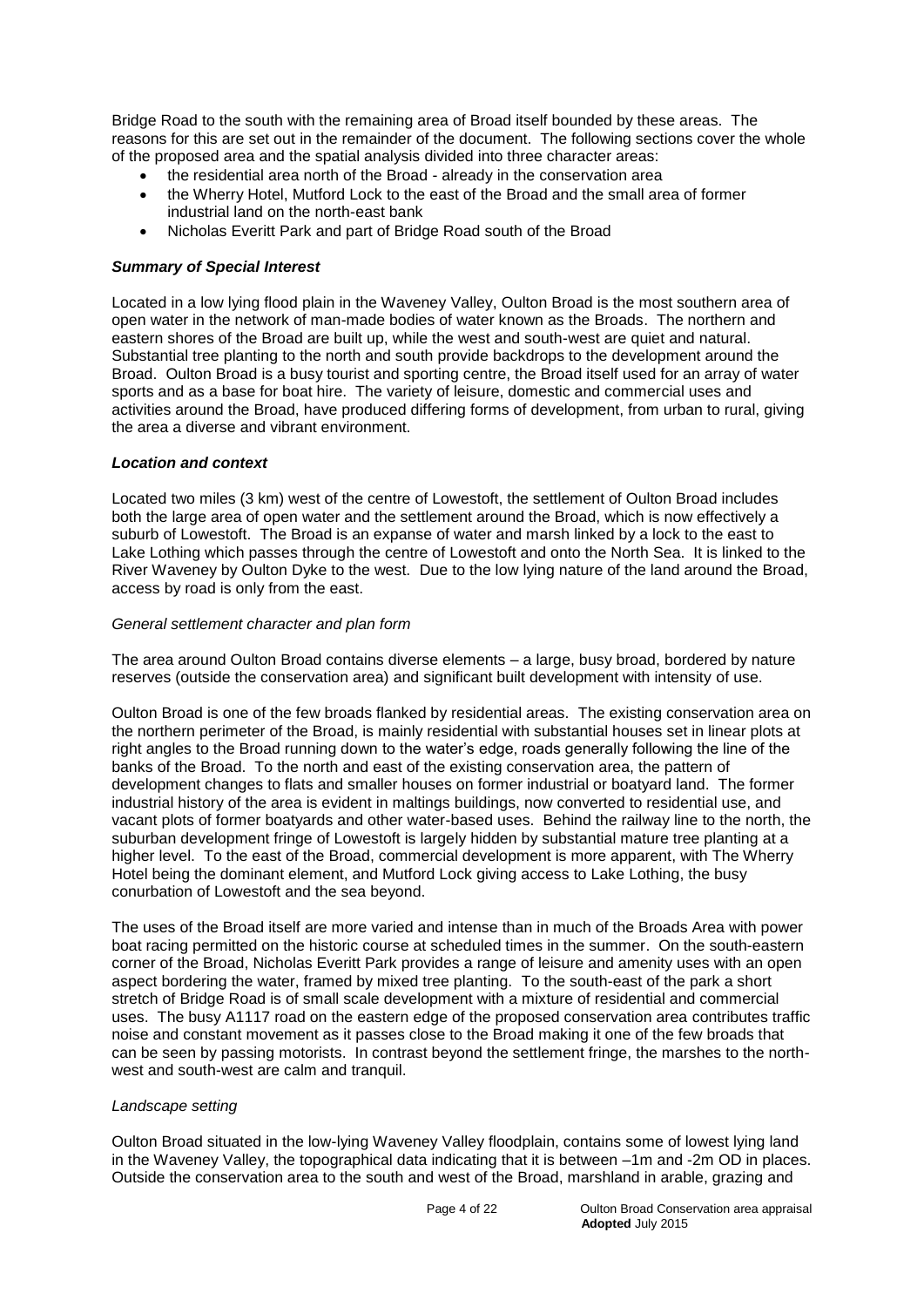Bridge Road to the south with the remaining area of Broad itself bounded by these areas. The reasons for this are set out in the remainder of the document. The following sections cover the whole of the proposed area and the spatial analysis divided into three character areas:

- the residential area north of the Broad already in the conservation area
- the Wherry Hotel, Mutford Lock to the east of the Broad and the small area of former industrial land on the north-east bank
- Nicholas Everitt Park and part of Bridge Road south of the Broad

## *Summary of Special Interest*

Located in a low lying flood plain in the Waveney Valley, Oulton Broad is the most southern area of open water in the network of man-made bodies of water known as the Broads. The northern and eastern shores of the Broad are built up, while the west and south-west are quiet and natural. Substantial tree planting to the north and south provide backdrops to the development around the Broad. Oulton Broad is a busy tourist and sporting centre, the Broad itself used for an array of water sports and as a base for boat hire. The variety of leisure, domestic and commercial uses and activities around the Broad, have produced differing forms of development, from urban to rural, giving the area a diverse and vibrant environment.

#### *Location and context*

Located two miles (3 km) west of the centre of Lowestoft, the settlement of Oulton Broad includes both the large area of open water and the settlement around the Broad, which is now effectively a suburb of Lowestoft. The Broad is an expanse of water and marsh linked by a lock to the east to Lake Lothing which passes through the centre of Lowestoft and onto the North Sea. It is linked to the River Waveney by Oulton Dyke to the west. Due to the low lying nature of the land around the Broad, access by road is only from the east.

#### *General settlement character and plan form*

The area around Oulton Broad contains diverse elements – a large, busy broad, bordered by nature reserves (outside the conservation area) and significant built development with intensity of use.

Oulton Broad is one of the few broads flanked by residential areas. The existing conservation area on the northern perimeter of the Broad, is mainly residential with substantial houses set in linear plots at right angles to the Broad running down to the water's edge, roads generally following the line of the banks of the Broad. To the north and east of the existing conservation area, the pattern of development changes to flats and smaller houses on former industrial or boatyard land. The former industrial history of the area is evident in maltings buildings, now converted to residential use, and vacant plots of former boatyards and other water-based uses. Behind the railway line to the north, the suburban development fringe of Lowestoft is largely hidden by substantial mature tree planting at a higher level. To the east of the Broad, commercial development is more apparent, with The Wherry Hotel being the dominant element, and Mutford Lock giving access to Lake Lothing, the busy conurbation of Lowestoft and the sea beyond.

The uses of the Broad itself are more varied and intense than in much of the Broads Area with power boat racing permitted on the historic course at scheduled times in the summer. On the south-eastern corner of the Broad, Nicholas Everitt Park provides a range of leisure and amenity uses with an open aspect bordering the water, framed by mixed tree planting. To the south-east of the park a short stretch of Bridge Road is of small scale development with a mixture of residential and commercial uses. The busy A1117 road on the eastern edge of the proposed conservation area contributes traffic noise and constant movement as it passes close to the Broad making it one of the few broads that can be seen by passing motorists. In contrast beyond the settlement fringe, the marshes to the northwest and south-west are calm and tranquil.

#### *Landscape setting*

Oulton Broad situated in the low-lying Waveney Valley floodplain, contains some of lowest lying land in the Waveney Valley, the topographical data indicating that it is between –1m and -2m OD in places. Outside the conservation area to the south and west of the Broad, marshland in arable, grazing and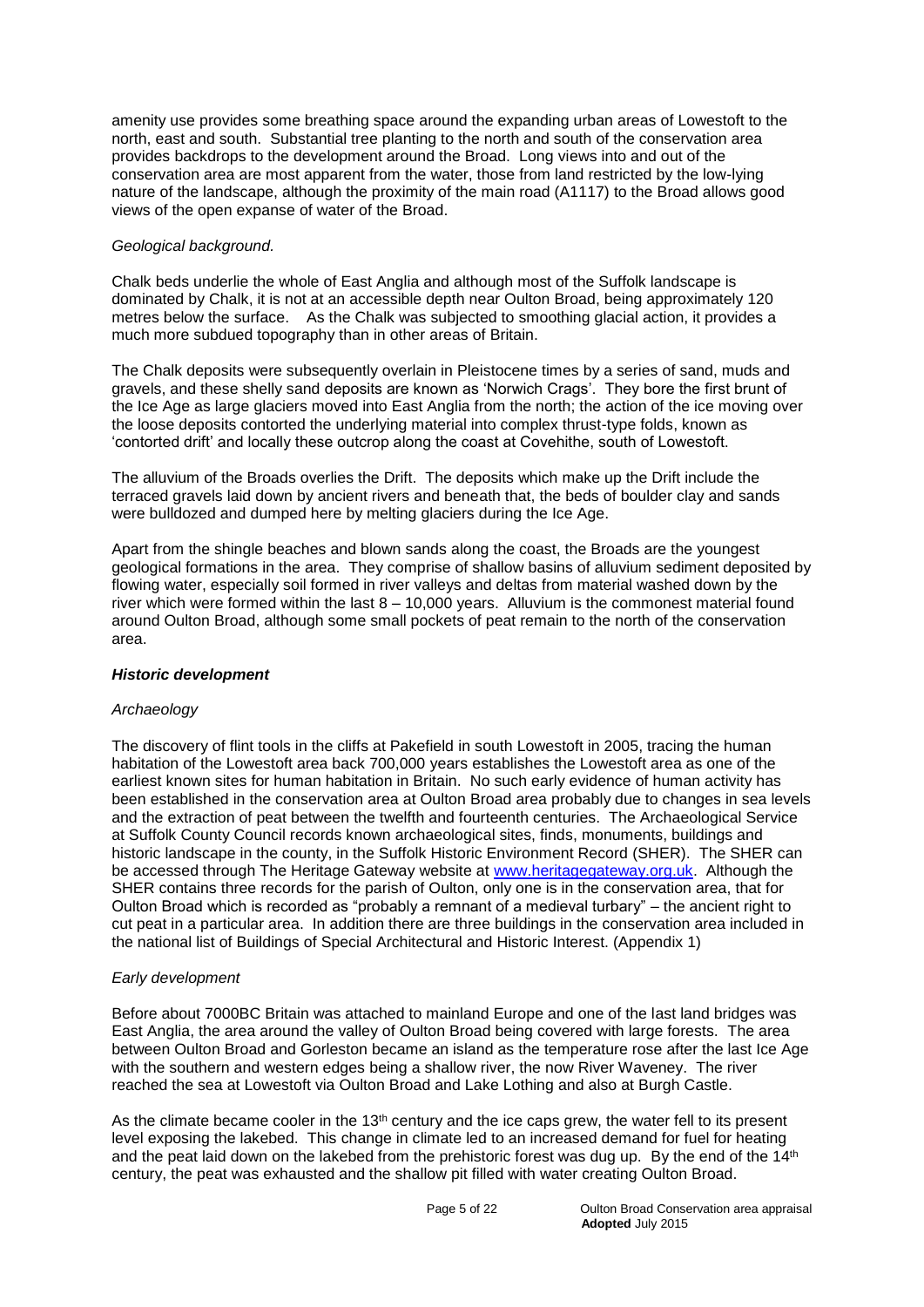amenity use provides some breathing space around the expanding urban areas of Lowestoft to the north, east and south. Substantial tree planting to the north and south of the conservation area provides backdrops to the development around the Broad. Long views into and out of the conservation area are most apparent from the water, those from land restricted by the low-lying nature of the landscape, although the proximity of the main road (A1117) to the Broad allows good views of the open expanse of water of the Broad.

# *Geological background.*

Chalk beds underlie the whole of East Anglia and although most of the Suffolk landscape is dominated by Chalk, it is not at an accessible depth near Oulton Broad, being approximately 120 metres below the surface. As the Chalk was subjected to smoothing glacial action, it provides a much more subdued topography than in other areas of Britain.

The Chalk deposits were subsequently overlain in Pleistocene times by a series of sand, muds and gravels, and these shelly sand deposits are known as 'Norwich Crags'. They bore the first brunt of the Ice Age as large glaciers moved into East Anglia from the north; the action of the ice moving over the loose deposits contorted the underlying material into complex thrust-type folds, known as 'contorted drift' and locally these outcrop along the coast at Covehithe, south of Lowestoft.

The alluvium of the Broads overlies the Drift. The deposits which make up the Drift include the terraced gravels laid down by ancient rivers and beneath that, the beds of boulder clay and sands were bulldozed and dumped here by melting glaciers during the Ice Age.

Apart from the shingle beaches and blown sands along the coast, the Broads are the youngest geological formations in the area. They comprise of shallow basins of alluvium sediment deposited by flowing water, especially soil formed in river valleys and deltas from material washed down by the river which were formed within the last 8 – 10,000 years. Alluvium is the commonest material found around Oulton Broad, although some small pockets of peat remain to the north of the conservation area.

# *Historic development*

# *Archaeology*

The discovery of flint tools in the cliffs at Pakefield in south Lowestoft in 2005, tracing the human habitation of the Lowestoft area back 700,000 years establishes the Lowestoft area as one of the earliest known sites for human habitation in Britain. No such early evidence of human activity has been established in the conservation area at Oulton Broad area probably due to changes in sea levels and the extraction of peat between the twelfth and fourteenth centuries. The Archaeological Service at Suffolk County Council records known archaeological sites, finds, monuments, buildings and historic landscape in the county, in the Suffolk Historic Environment Record (SHER). The SHER can be accessed through The Heritage Gateway website at [www.heritagegateway.org.uk.](http://www.heritagegateway.org.uk/) Although the SHER contains three records for the parish of Oulton, only one is in the conservation area, that for Oulton Broad which is recorded as "probably a remnant of a medieval turbary" – the ancient right to cut peat in a particular area. In addition there are three buildings in the conservation area included in the national list of Buildings of Special Architectural and Historic Interest. (Appendix 1)

# *Early development*

Before about 7000BC Britain was attached to mainland Europe and one of the last land bridges was East Anglia, the area around the valley of Oulton Broad being covered with large forests. The area between Oulton Broad and Gorleston became an island as the temperature rose after the last Ice Age with the southern and western edges being a shallow river, the now River Waveney. The river reached the sea at Lowestoft via Oulton Broad and Lake Lothing and also at Burgh Castle.

As the climate became cooler in the  $13<sup>th</sup>$  century and the ice caps grew, the water fell to its present level exposing the lakebed. This change in climate led to an increased demand for fuel for heating and the peat laid down on the lakebed from the prehistoric forest was dug up. By the end of the 14th century, the peat was exhausted and the shallow pit filled with water creating Oulton Broad.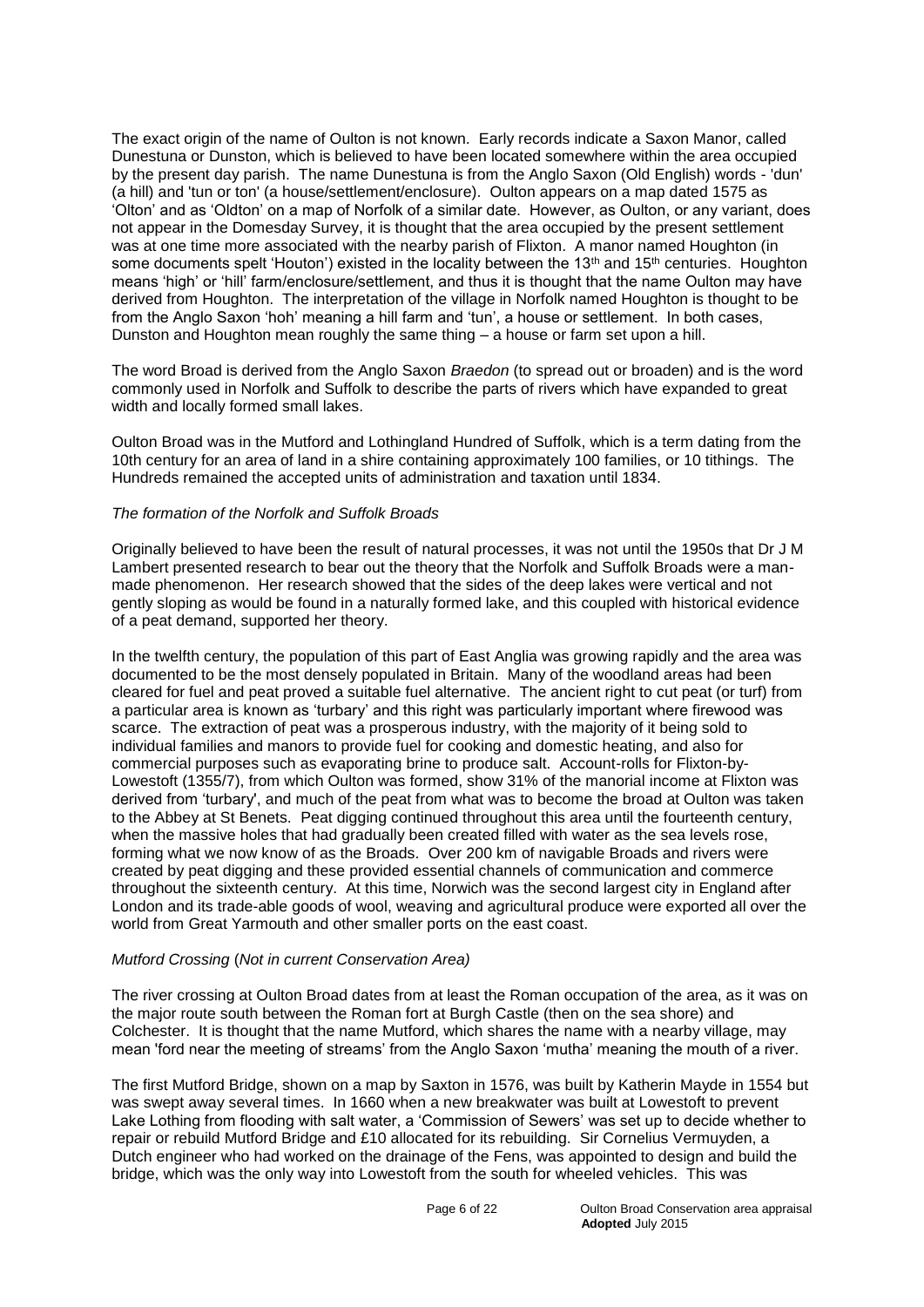The exact origin of the name of Oulton is not known. Early records indicate a Saxon Manor, called Dunestuna or Dunston, which is believed to have been located somewhere within the area occupied by the present day parish. The name Dunestuna is from the Anglo Saxon (Old English) words - 'dun' (a hill) and 'tun or ton' (a house/settlement/enclosure). Oulton appears on a map dated 1575 as 'Olton' and as 'Oldton' on a map of Norfolk of a similar date. However, as Oulton, or any variant, does not appear in the Domesday Survey, it is thought that the area occupied by the present settlement was at one time more associated with the nearby parish of Flixton. A manor named Houghton (in some documents spelt 'Houton') existed in the locality between the 13<sup>th</sup> and 15<sup>th</sup> centuries. Houghton means 'high' or 'hill' farm/enclosure/settlement, and thus it is thought that the name Oulton may have derived from Houghton. The interpretation of the village in Norfolk named Houghton is thought to be from the Anglo Saxon 'hoh' meaning a hill farm and 'tun', a house or settlement. In both cases, Dunston and Houghton mean roughly the same thing – a house or farm set upon a hill.

The word Broad is derived from the Anglo Saxon *Braedon* (to spread out or broaden) and is the word commonly used in Norfolk and Suffolk to describe the parts of rivers which have expanded to great width and locally formed small lakes.

Oulton Broad was in the Mutford and Lothingland Hundred of Suffolk, which is a term dating from the 10th century for an area of land in a shire containing approximately 100 families, or 10 tithings. The Hundreds remained the accepted units of administration and taxation until 1834.

#### *The formation of the Norfolk and Suffolk Broads*

Originally believed to have been the result of natural processes, it was not until the 1950s that Dr J M Lambert presented research to bear out the theory that the Norfolk and Suffolk Broads were a manmade phenomenon. Her research showed that the sides of the deep lakes were vertical and not gently sloping as would be found in a naturally formed lake, and this coupled with historical evidence of a peat demand, supported her theory.

In the twelfth century, the population of this part of East Anglia was growing rapidly and the area was documented to be the most densely populated in Britain. Many of the woodland areas had been cleared for fuel and peat proved a suitable fuel alternative. The ancient right to cut peat (or turf) from a particular area is known as 'turbary' and this right was particularly important where firewood was scarce. The extraction of peat was a prosperous industry, with the majority of it being sold to individual families and manors to provide fuel for cooking and domestic heating, and also for commercial purposes such as evaporating brine to produce salt. Account-rolls for Flixton-by-Lowestoft (1355/7), from which Oulton was formed, show 31% of the manorial income at Flixton was derived from 'turbary', and much of the peat from what was to become the broad at Oulton was taken to the Abbey at St Benets. Peat digging continued throughout this area until the fourteenth century, when the massive holes that had gradually been created filled with water as the sea levels rose, forming what we now know of as the Broads. Over 200 km of navigable Broads and rivers were created by peat digging and these provided essential channels of communication and commerce throughout the sixteenth century. At this time, Norwich was the second largest city in England after London and its trade-able goods of wool, weaving and agricultural produce were exported all over the world from Great Yarmouth and other smaller ports on the east coast.

#### *Mutford Crossing* (*Not in current Conservation Area)*

The river crossing at Oulton Broad dates from at least the Roman occupation of the area, as it was on the major route south between the Roman fort at Burgh Castle (then on the sea shore) and Colchester. It is thought that the name Mutford, which shares the name with a nearby village, may mean 'ford near the meeting of streams' from the Anglo Saxon 'mutha' meaning the mouth of a river.

The first Mutford Bridge, shown on a map by Saxton in 1576, was built by Katherin Mayde in 1554 but was swept away several times. In 1660 when a new breakwater was built at Lowestoft to prevent Lake Lothing from flooding with salt water, a 'Commission of Sewers' was set up to decide whether to repair or rebuild Mutford Bridge and £10 allocated for its rebuilding. Sir Cornelius Vermuyden, a Dutch engineer who had worked on the drainage of the Fens, was appointed to design and build the bridge, which was the only way into Lowestoft from the south for wheeled vehicles. This was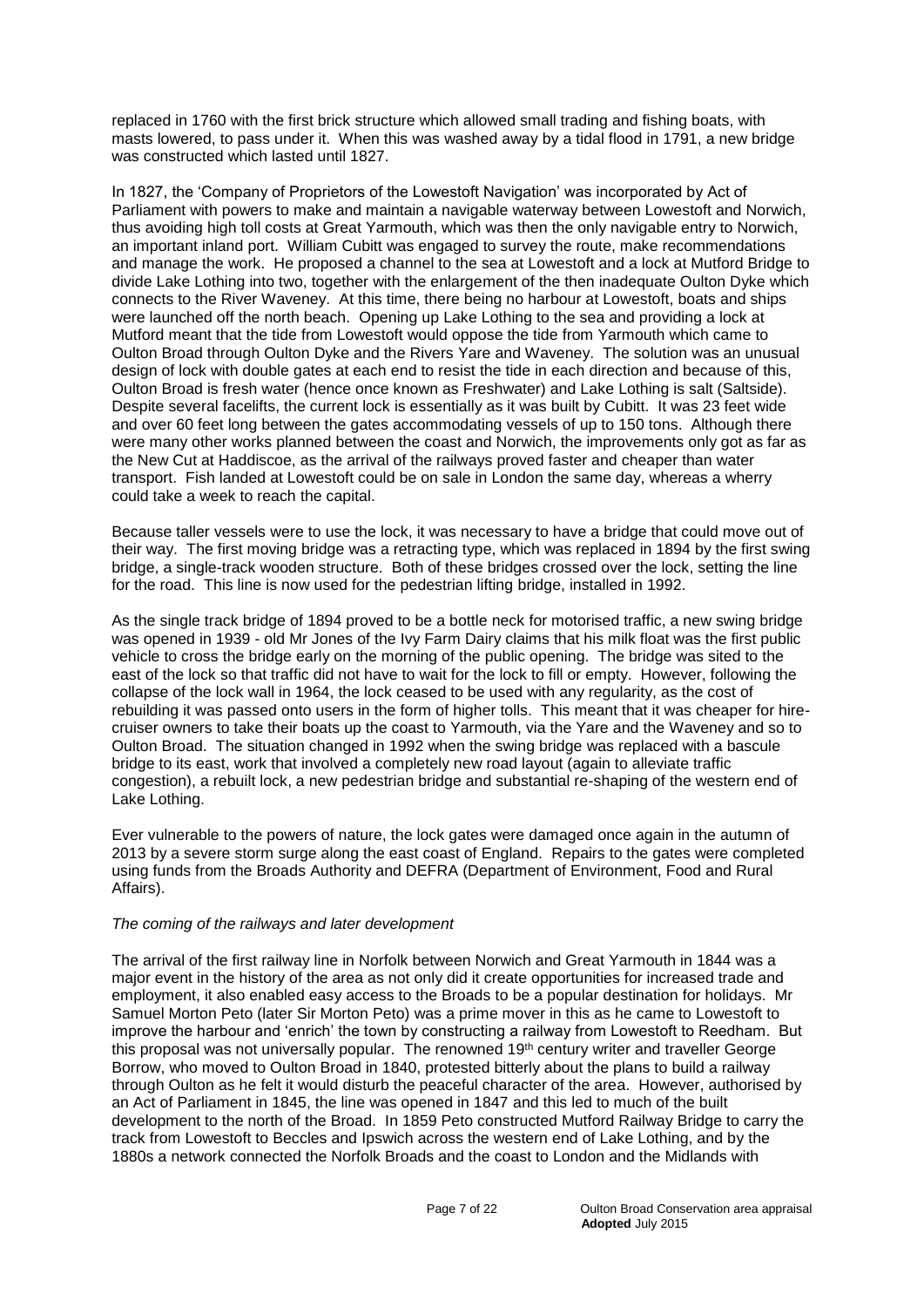replaced in 1760 with the first brick structure which allowed small trading and fishing boats, with masts lowered, to pass under it. When this was washed away by a tidal flood in 1791, a new bridge was constructed which lasted until 1827.

In 1827, the 'Company of Proprietors of the Lowestoft Navigation' was incorporated by Act of Parliament with powers to make and maintain a navigable waterway between Lowestoft and Norwich, thus avoiding high toll costs at Great Yarmouth, which was then the only navigable entry to Norwich, an important inland port. William Cubitt was engaged to survey the route, make recommendations and manage the work. He proposed a channel to the sea at Lowestoft and a lock at Mutford Bridge to divide Lake Lothing into two, together with the enlargement of the then inadequate Oulton Dyke which connects to the River Waveney. At this time, there being no harbour at Lowestoft, boats and ships were launched off the north beach. Opening up Lake Lothing to the sea and providing a lock at Mutford meant that the tide from Lowestoft would oppose the tide from Yarmouth which came to Oulton Broad through Oulton Dyke and the Rivers Yare and Waveney. The solution was an unusual design of lock with double gates at each end to resist the tide in each direction and because of this, Oulton Broad is fresh water (hence once known as Freshwater) and Lake Lothing is salt (Saltside). Despite several facelifts, the current lock is essentially as it was built by Cubitt. It was 23 feet wide and over 60 feet long between the gates accommodating vessels of up to 150 tons. Although there were many other works planned between the coast and Norwich, the improvements only got as far as the New Cut at Haddiscoe, as the arrival of the railways proved faster and cheaper than water transport. Fish landed at Lowestoft could be on sale in London the same day, whereas a wherry could take a week to reach the capital.

Because taller vessels were to use the lock, it was necessary to have a bridge that could move out of their way. The first moving bridge was a retracting type, which was replaced in 1894 by the first swing bridge, a single-track wooden structure. Both of these bridges crossed over the lock, setting the line for the road. This line is now used for the pedestrian lifting bridge, installed in 1992.

As the single track bridge of 1894 proved to be a bottle neck for motorised traffic, a new swing bridge was opened in 1939 - old Mr Jones of the Ivy Farm Dairy claims that his milk float was the first public vehicle to cross the bridge early on the morning of the public opening. The bridge was sited to the east of the lock so that traffic did not have to wait for the lock to fill or empty. However, following the collapse of the lock wall in 1964, the lock ceased to be used with any regularity, as the cost of rebuilding it was passed onto users in the form of higher tolls. This meant that it was cheaper for hirecruiser owners to take their boats up the coast to Yarmouth, via the Yare and the Waveney and so to Oulton Broad. The situation changed in 1992 when the swing bridge was replaced with a bascule bridge to its east, work that involved a completely new road layout (again to alleviate traffic congestion), a rebuilt lock, a new pedestrian bridge and substantial re-shaping of the western end of Lake Lothing.

Ever vulnerable to the powers of nature, the lock gates were damaged once again in the autumn of 2013 by a severe storm surge along the east coast of England. Repairs to the gates were completed using funds from the Broads Authority and DEFRA (Department of Environment, Food and Rural Affairs).

# *The coming of the railways and later development*

The arrival of the first railway line in Norfolk between Norwich and Great Yarmouth in 1844 was a major event in the history of the area as not only did it create opportunities for increased trade and employment, it also enabled easy access to the Broads to be a popular destination for holidays. Mr Samuel Morton Peto (later Sir Morton Peto) was a prime mover in this as he came to Lowestoft to improve the harbour and 'enrich' the town by constructing a railway from Lowestoft to Reedham. But this proposal was not universally popular. The renowned 19th century writer and traveller George Borrow, who moved to Oulton Broad in 1840, protested bitterly about the plans to build a railway through Oulton as he felt it would disturb the peaceful character of the area. However, authorised by an Act of Parliament in 1845, the line was opened in 1847 and this led to much of the built development to the north of the Broad. In 1859 Peto constructed Mutford Railway Bridge to carry the track from Lowestoft to Beccles and Ipswich across the western end of Lake Lothing, and by the 1880s a network connected the Norfolk Broads and the coast to London and the Midlands with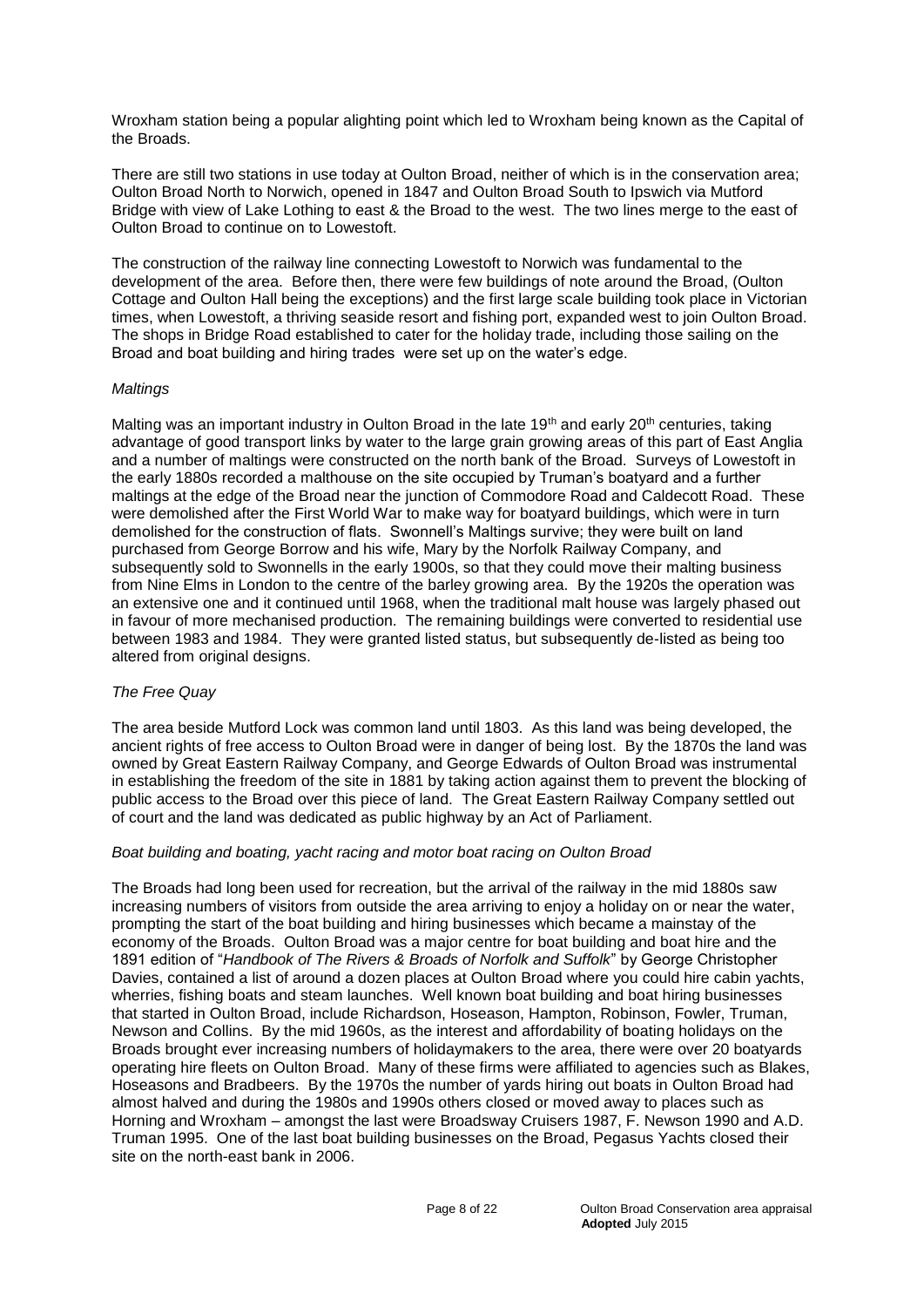Wroxham station being a popular alighting point which led to Wroxham being known as the Capital of the Broads.

There are still two stations in use today at Oulton Broad, neither of which is in the conservation area; Oulton Broad North to Norwich, opened in 1847 and Oulton Broad South to Ipswich via Mutford Bridge with view of Lake Lothing to east & the Broad to the west. The two lines merge to the east of Oulton Broad to continue on to Lowestoft.

The construction of the railway line connecting Lowestoft to Norwich was fundamental to the development of the area. Before then, there were few buildings of note around the Broad, (Oulton Cottage and Oulton Hall being the exceptions) and the first large scale building took place in Victorian times, when Lowestoft, a thriving seaside resort and fishing port, expanded west to join Oulton Broad. The shops in Bridge Road established to cater for the holiday trade, including those sailing on the Broad and boat building and hiring trades were set up on the water's edge.

#### *Maltings*

Malting was an important industry in Oulton Broad in the late 19<sup>th</sup> and early 20<sup>th</sup> centuries, taking advantage of good transport links by water to the large grain growing areas of this part of East Anglia and a number of maltings were constructed on the north bank of the Broad. Surveys of Lowestoft in the early 1880s recorded a malthouse on the site occupied by Truman's boatyard and a further maltings at the edge of the Broad near the junction of Commodore Road and Caldecott Road. These were demolished after the First World War to make way for boatyard buildings, which were in turn demolished for the construction of flats. Swonnell's Maltings survive; they were built on land purchased from George Borrow and his wife, Mary by the Norfolk Railway Company, and subsequently sold to Swonnells in the early 1900s, so that they could move their malting business from Nine Elms in London to the centre of the barley growing area. By the 1920s the operation was an extensive one and it continued until 1968, when the traditional malt house was largely phased out in favour of more mechanised production. The remaining buildings were converted to residential use between 1983 and 1984. They were granted listed status, but subsequently de-listed as being too altered from original designs.

# *The Free Quay*

The area beside Mutford Lock was common land until 1803. As this land was being developed, the ancient rights of free access to Oulton Broad were in danger of being lost. By the 1870s the land was owned by Great Eastern Railway Company, and George Edwards of Oulton Broad was instrumental in establishing the freedom of the site in 1881 by taking action against them to prevent the blocking of public access to the Broad over this piece of land. The Great Eastern Railway Company settled out of court and the land was dedicated as public highway by an Act of Parliament.

#### *Boat building and boating, yacht racing and motor boat racing on Oulton Broad*

The Broads had long been used for recreation, but the arrival of the railway in the mid 1880s saw increasing numbers of visitors from outside the area arriving to enjoy a holiday on or near the water, prompting the start of the boat building and hiring businesses which became a mainstay of the economy of the Broads. Oulton Broad was a major centre for boat building and boat hire and the 1891 edition of "*Handbook of The Rivers & Broads of Norfolk and Suffolk*" by George Christopher Davies, contained a list of around a dozen places at Oulton Broad where you could hire cabin yachts, wherries, fishing boats and steam launches. Well known boat building and boat hiring businesses that started in Oulton Broad, include Richardson, Hoseason, Hampton, Robinson, Fowler, Truman, Newson and Collins. By the mid 1960s, as the interest and affordability of boating holidays on the Broads brought ever increasing numbers of holidaymakers to the area, there were over 20 boatyards operating hire fleets on Oulton Broad. Many of these firms were affiliated to agencies such as Blakes, Hoseasons and Bradbeers. By the 1970s the number of yards hiring out boats in Oulton Broad had almost halved and during the 1980s and 1990s others closed or moved away to places such as Horning and Wroxham – amongst the last were Broadsway Cruisers 1987, F. Newson 1990 and A.D. Truman 1995. One of the last boat building businesses on the Broad, Pegasus Yachts closed their site on the north-east bank in 2006.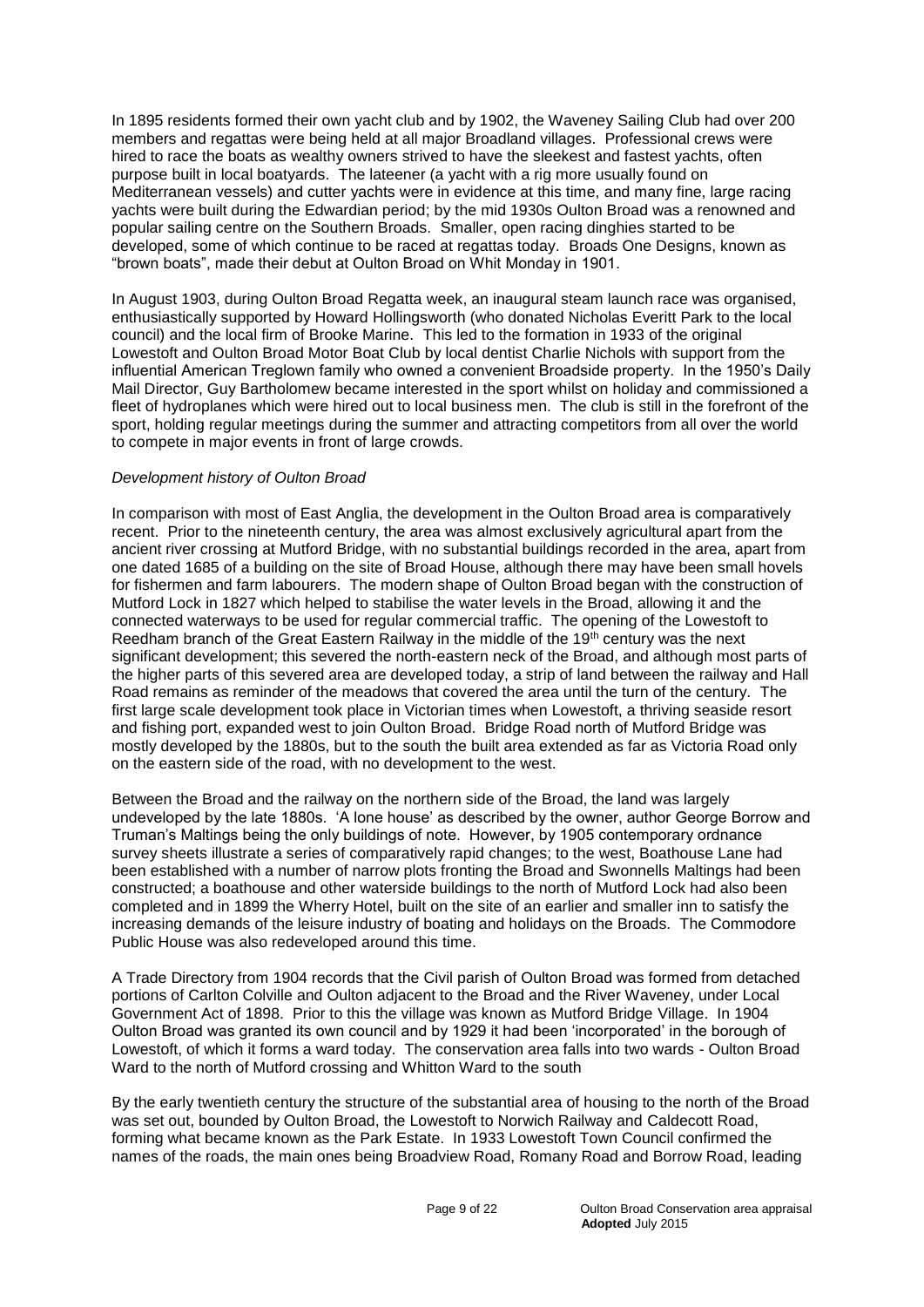In 1895 residents formed their own yacht club and by 1902, the Waveney Sailing Club had over 200 members and regattas were being held at all major Broadland villages. Professional crews were hired to race the boats as wealthy owners strived to have the sleekest and fastest yachts, often purpose built in local boatyards. The lateener (a yacht with a rig more usually found on Mediterranean vessels) and cutter yachts were in evidence at this time, and many fine, large racing yachts were built during the Edwardian period; by the mid 1930s Oulton Broad was a renowned and popular sailing centre on the Southern Broads. Smaller, open racing dinghies started to be developed, some of which continue to be raced at regattas today. Broads One Designs, known as "brown boats", made their debut at Oulton Broad on Whit Monday in 1901.

In August 1903, during Oulton Broad Regatta week, an inaugural steam launch race was organised, enthusiastically supported by Howard Hollingsworth (who donated Nicholas Everitt Park to the local council) and the local firm of Brooke Marine. This led to the formation in 1933 of the original Lowestoft and Oulton Broad Motor Boat Club by local dentist Charlie Nichols with support from the influential American Treglown family who owned a convenient Broadside property. In the 1950's Daily Mail Director, Guy Bartholomew became interested in the sport whilst on holiday and commissioned a fleet of hydroplanes which were hired out to local business men. The club is still in the forefront of the sport, holding regular meetings during the summer and attracting competitors from all over the world to compete in major events in front of large crowds.

# *Development history of Oulton Broad*

In comparison with most of East Anglia, the development in the Oulton Broad area is comparatively recent. Prior to the nineteenth century, the area was almost exclusively agricultural apart from the ancient river crossing at Mutford Bridge, with no substantial buildings recorded in the area, apart from one dated 1685 of a building on the site of Broad House, although there may have been small hovels for fishermen and farm labourers. The modern shape of Oulton Broad began with the construction of Mutford Lock in 1827 which helped to stabilise the water levels in the Broad, allowing it and the connected waterways to be used for regular commercial traffic. The opening of the Lowestoft to Reedham branch of the Great Eastern Railway in the middle of the 19th century was the next significant development; this severed the north-eastern neck of the Broad, and although most parts of the higher parts of this severed area are developed today, a strip of land between the railway and Hall Road remains as reminder of the meadows that covered the area until the turn of the century. The first large scale development took place in Victorian times when Lowestoft, a thriving seaside resort and fishing port, expanded west to join Oulton Broad. Bridge Road north of Mutford Bridge was mostly developed by the 1880s, but to the south the built area extended as far as Victoria Road only on the eastern side of the road, with no development to the west.

Between the Broad and the railway on the northern side of the Broad, the land was largely undeveloped by the late 1880s. 'A lone house' as described by the owner, author George Borrow and Truman's Maltings being the only buildings of note. However, by 1905 contemporary ordnance survey sheets illustrate a series of comparatively rapid changes; to the west, Boathouse Lane had been established with a number of narrow plots fronting the Broad and Swonnells Maltings had been constructed; a boathouse and other waterside buildings to the north of Mutford Lock had also been completed and in 1899 the Wherry Hotel, built on the site of an earlier and smaller inn to satisfy the increasing demands of the leisure industry of boating and holidays on the Broads. The Commodore Public House was also redeveloped around this time.

A Trade Directory from 1904 records that the Civil parish of Oulton Broad was formed from detached portions of Carlton Colville and Oulton adjacent to the Broad and the River Waveney, under Local Government Act of 1898. Prior to this the village was known as Mutford Bridge Village. In 1904 Oulton Broad was granted its own council and by 1929 it had been 'incorporated' in the borough of Lowestoft, of which it forms a ward today. The conservation area falls into two wards - Oulton Broad Ward to the north of Mutford crossing and Whitton Ward to the south

By the early twentieth century the structure of the substantial area of housing to the north of the Broad was set out, bounded by Oulton Broad, the Lowestoft to Norwich Railway and Caldecott Road, forming what became known as the Park Estate. In 1933 Lowestoft Town Council confirmed the names of the roads, the main ones being Broadview Road, Romany Road and Borrow Road, leading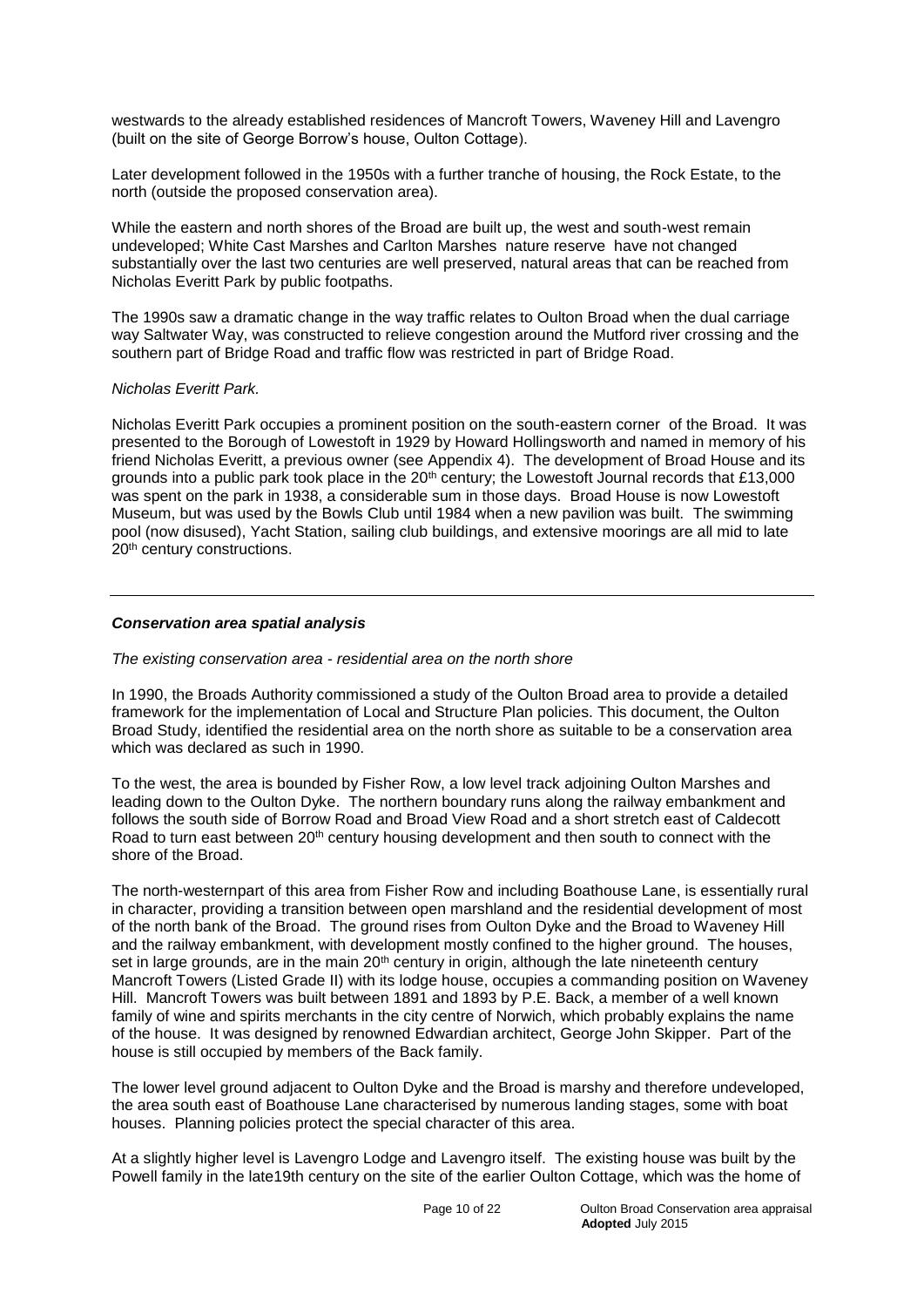westwards to the already established residences of Mancroft Towers, Waveney Hill and Lavengro (built on the site of George Borrow's house, Oulton Cottage).

Later development followed in the 1950s with a further tranche of housing, the Rock Estate, to the north (outside the proposed conservation area).

While the eastern and north shores of the Broad are built up, the west and south-west remain undeveloped; White Cast Marshes and Carlton Marshes nature reserve have not changed substantially over the last two centuries are well preserved, natural areas that can be reached from Nicholas Everitt Park by public footpaths.

The 1990s saw a dramatic change in the way traffic relates to Oulton Broad when the dual carriage way Saltwater Way, was constructed to relieve congestion around the Mutford river crossing and the southern part of Bridge Road and traffic flow was restricted in part of Bridge Road.

#### *Nicholas Everitt Park.*

Nicholas Everitt Park occupies a prominent position on the south-eastern corner of the Broad. It was presented to the Borough of Lowestoft in 1929 by Howard Hollingsworth and named in memory of his friend Nicholas Everitt, a previous owner (see Appendix 4). The development of Broad House and its grounds into a public park took place in the  $20<sup>th</sup>$  century; the Lowestoft Journal records that £13,000 was spent on the park in 1938, a considerable sum in those days. Broad House is now Lowestoft Museum, but was used by the Bowls Club until 1984 when a new pavilion was built. The swimming pool (now disused), Yacht Station, sailing club buildings, and extensive moorings are all mid to late 20<sup>th</sup> century constructions.

#### *Conservation area spatial analysis*

#### *The existing conservation area - residential area on the north shore*

In 1990, the Broads Authority commissioned a study of the Oulton Broad area to provide a detailed framework for the implementation of Local and Structure Plan policies. This document, the Oulton Broad Study, identified the residential area on the north shore as suitable to be a conservation area which was declared as such in 1990.

To the west, the area is bounded by Fisher Row, a low level track adjoining Oulton Marshes and leading down to the Oulton Dyke. The northern boundary runs along the railway embankment and follows the south side of Borrow Road and Broad View Road and a short stretch east of Caldecott Road to turn east between 20<sup>th</sup> century housing development and then south to connect with the shore of the Broad.

The north-westernpart of this area from Fisher Row and including Boathouse Lane, is essentially rural in character, providing a transition between open marshland and the residential development of most of the north bank of the Broad. The ground rises from Oulton Dyke and the Broad to Waveney Hill and the railway embankment, with development mostly confined to the higher ground. The houses, set in large grounds, are in the main  $20<sup>th</sup>$  century in origin, although the late nineteenth century Mancroft Towers (Listed Grade II) with its lodge house, occupies a commanding position on Waveney Hill. Mancroft Towers was built between 1891 and 1893 by P.E. Back, a member of a well known family of wine and spirits merchants in the city centre of Norwich, which probably explains the name of the house. It was designed by renowned Edwardian architect, George John Skipper. Part of the house is still occupied by members of the Back family.

The lower level ground adjacent to Oulton Dyke and the Broad is marshy and therefore undeveloped, the area south east of Boathouse Lane characterised by numerous landing stages, some with boat houses. Planning policies protect the special character of this area.

At a slightly higher level is Lavengro Lodge and Lavengro itself. The existing house was built by the Powell family in the late19th century on the site of the earlier Oulton Cottage, which was the home of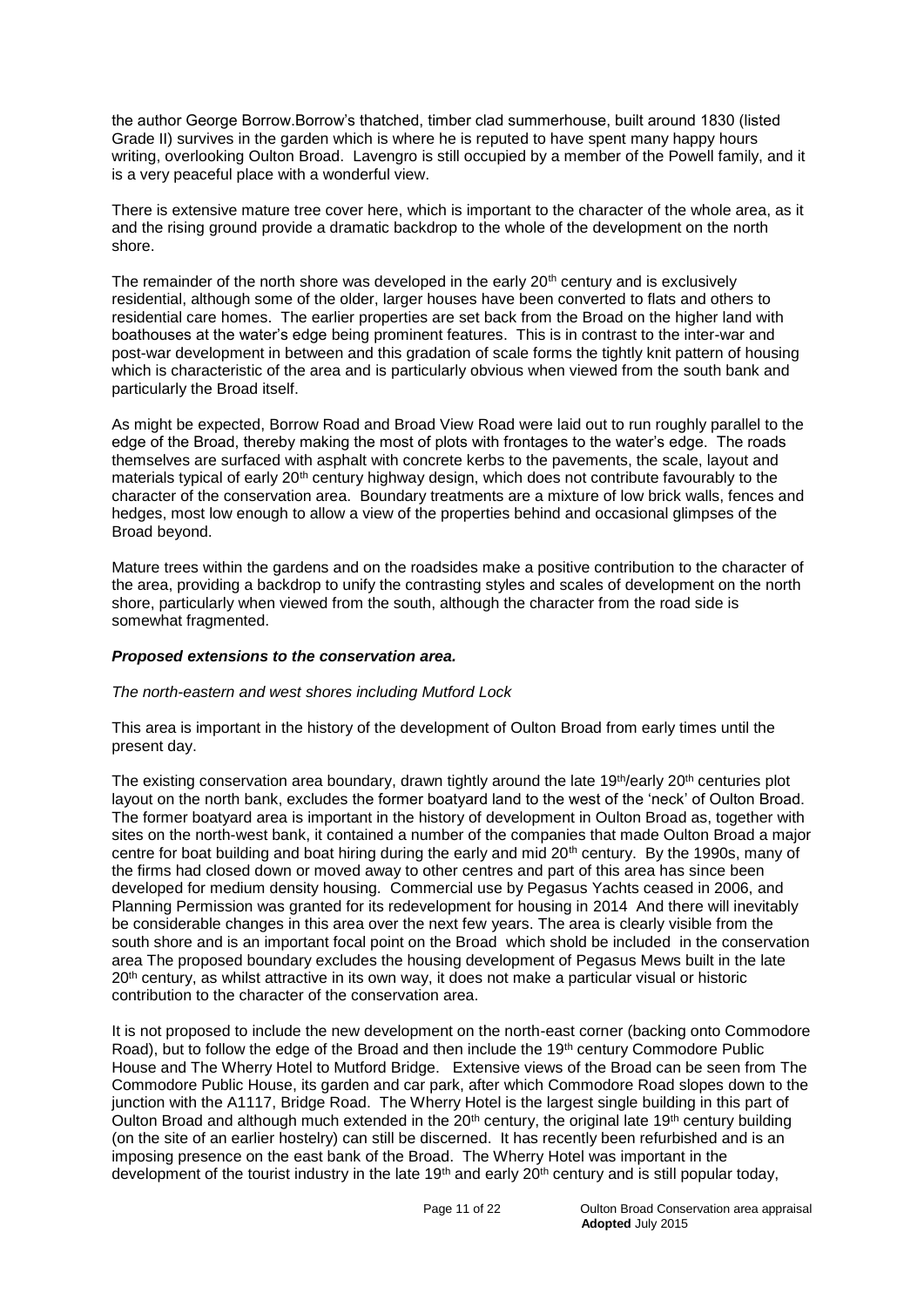the author George Borrow.Borrow's thatched, timber clad summerhouse, built around 1830 (listed Grade II) survives in the garden which is where he is reputed to have spent many happy hours writing, overlooking Oulton Broad. Lavengro is still occupied by a member of the Powell family, and it is a very peaceful place with a wonderful view.

There is extensive mature tree cover here, which is important to the character of the whole area, as it and the rising ground provide a dramatic backdrop to the whole of the development on the north shore.

The remainder of the north shore was developed in the early 20<sup>th</sup> century and is exclusively residential, although some of the older, larger houses have been converted to flats and others to residential care homes. The earlier properties are set back from the Broad on the higher land with boathouses at the water's edge being prominent features. This is in contrast to the inter-war and post-war development in between and this gradation of scale forms the tightly knit pattern of housing which is characteristic of the area and is particularly obvious when viewed from the south bank and particularly the Broad itself.

As might be expected, Borrow Road and Broad View Road were laid out to run roughly parallel to the edge of the Broad, thereby making the most of plots with frontages to the water's edge. The roads themselves are surfaced with asphalt with concrete kerbs to the pavements, the scale, layout and materials typical of early 20<sup>th</sup> century highway design, which does not contribute favourably to the character of the conservation area. Boundary treatments are a mixture of low brick walls, fences and hedges, most low enough to allow a view of the properties behind and occasional glimpses of the Broad beyond.

Mature trees within the gardens and on the roadsides make a positive contribution to the character of the area, providing a backdrop to unify the contrasting styles and scales of development on the north shore, particularly when viewed from the south, although the character from the road side is somewhat fragmented.

#### *Proposed extensions to the conservation area.*

#### *The north-eastern and west shores including Mutford Lock*

This area is important in the history of the development of Oulton Broad from early times until the present day.

The existing conservation area boundary, drawn tightly around the late 19<sup>th</sup>/early 20<sup>th</sup> centuries plot layout on the north bank, excludes the former boatyard land to the west of the 'neck' of Oulton Broad. The former boatyard area is important in the history of development in Oulton Broad as, together with sites on the north-west bank, it contained a number of the companies that made Oulton Broad a major centre for boat building and boat hiring during the early and mid  $20<sup>th</sup>$  century. By the 1990s, many of the firms had closed down or moved away to other centres and part of this area has since been developed for medium density housing. Commercial use by Pegasus Yachts ceased in 2006, and Planning Permission was granted for its redevelopment for housing in 2014 And there will inevitably be considerable changes in this area over the next few years. The area is clearly visible from the south shore and is an important focal point on the Broad which shold be included in the conservation area The proposed boundary excludes the housing development of Pegasus Mews built in the late 20<sup>th</sup> century, as whilst attractive in its own way, it does not make a particular visual or historic contribution to the character of the conservation area.

It is not proposed to include the new development on the north-east corner (backing onto Commodore Road), but to follow the edge of the Broad and then include the 19<sup>th</sup> century Commodore Public House and The Wherry Hotel to Mutford Bridge. Extensive views of the Broad can be seen from The Commodore Public House, its garden and car park, after which Commodore Road slopes down to the junction with the A1117, Bridge Road. The Wherry Hotel is the largest single building in this part of Oulton Broad and although much extended in the  $20<sup>th</sup>$  century, the original late 19<sup>th</sup> century building (on the site of an earlier hostelry) can still be discerned. It has recently been refurbished and is an imposing presence on the east bank of the Broad. The Wherry Hotel was important in the development of the tourist industry in the late 19<sup>th</sup> and early 20<sup>th</sup> century and is still popular today,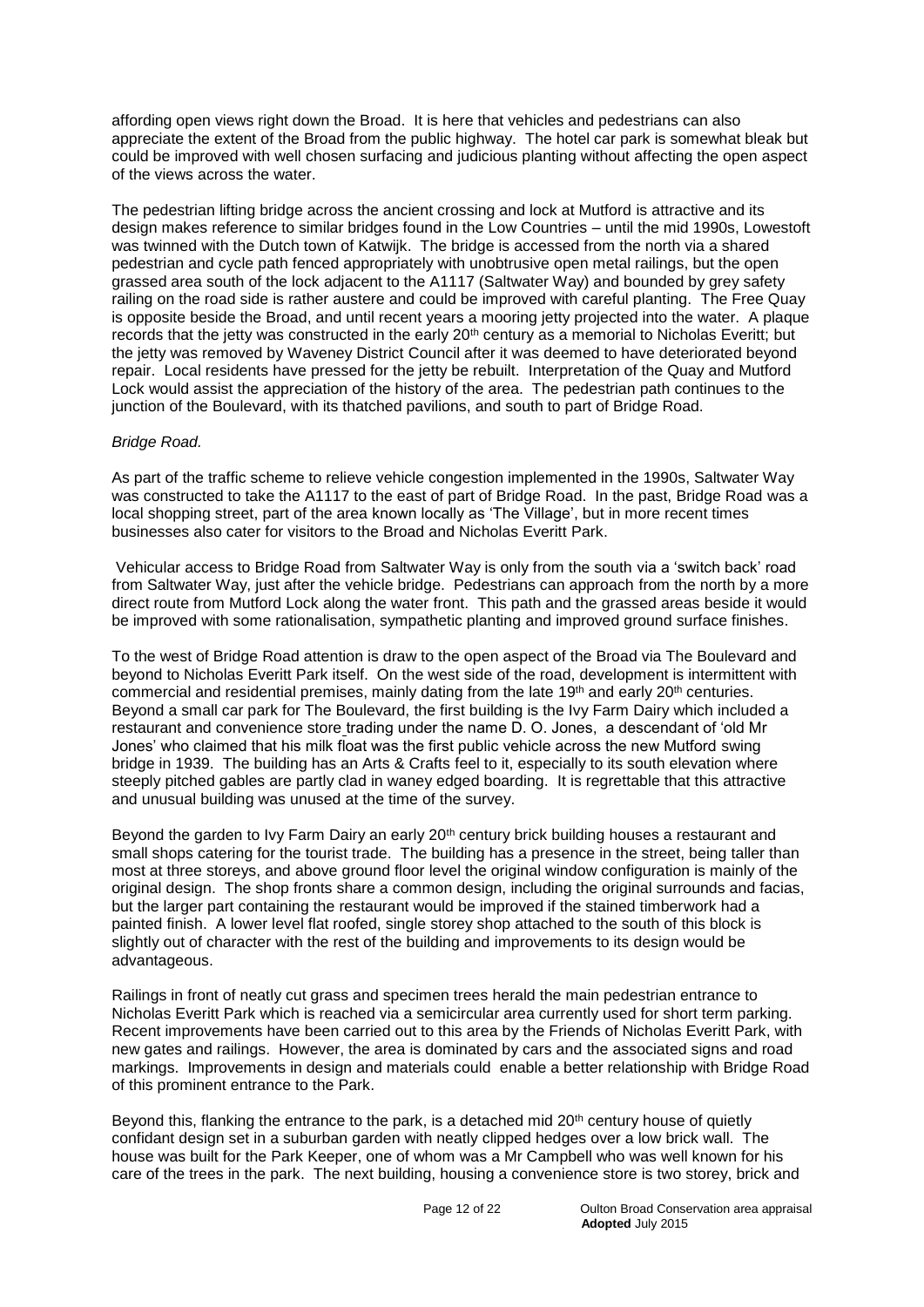affording open views right down the Broad. It is here that vehicles and pedestrians can also appreciate the extent of the Broad from the public highway. The hotel car park is somewhat bleak but could be improved with well chosen surfacing and judicious planting without affecting the open aspect of the views across the water.

The pedestrian lifting bridge across the ancient crossing and lock at Mutford is attractive and its design makes reference to similar bridges found in the Low Countries – until the mid 1990s, Lowestoft was twinned with the Dutch town of Katwijk. The bridge is accessed from the north via a shared pedestrian and cycle path fenced appropriately with unobtrusive open metal railings, but the open grassed area south of the lock adjacent to the A1117 (Saltwater Way) and bounded by grey safety railing on the road side is rather austere and could be improved with careful planting. The Free Quay is opposite beside the Broad, and until recent years a mooring jetty projected into the water. A plaque records that the jetty was constructed in the early 20<sup>th</sup> century as a memorial to Nicholas Everitt; but the jetty was removed by Waveney District Council after it was deemed to have deteriorated beyond repair. Local residents have pressed for the jetty be rebuilt. Interpretation of the Quay and Mutford Lock would assist the appreciation of the history of the area. The pedestrian path continues to the junction of the Boulevard, with its thatched pavilions, and south to part of Bridge Road.

#### *Bridge Road.*

As part of the traffic scheme to relieve vehicle congestion implemented in the 1990s, Saltwater Way was constructed to take the A1117 to the east of part of Bridge Road. In the past, Bridge Road was a local shopping street, part of the area known locally as 'The Village', but in more recent times businesses also cater for visitors to the Broad and Nicholas Everitt Park.

Vehicular access to Bridge Road from Saltwater Way is only from the south via a 'switch back' road from Saltwater Way, just after the vehicle bridge. Pedestrians can approach from the north by a more direct route from Mutford Lock along the water front. This path and the grassed areas beside it would be improved with some rationalisation, sympathetic planting and improved ground surface finishes.

To the west of Bridge Road attention is draw to the open aspect of the Broad via The Boulevard and beyond to Nicholas Everitt Park itself. On the west side of the road, development is intermittent with commercial and residential premises, mainly dating from the late 19th and early 20th centuries. Beyond a small car park for The Boulevard, the first building is the Ivy Farm Dairy which included a restaurant and convenience store trading under the name D. O. Jones, a descendant of 'old Mr Jones' who claimed that his milk float was the first public vehicle across the new Mutford swing bridge in 1939. The building has an Arts & Crafts feel to it, especially to its south elevation where steeply pitched gables are partly clad in waney edged boarding.It is regrettable that this attractive and unusual building was unused at the time of the survey.

Beyond the garden to Ivy Farm Dairy an early 20<sup>th</sup> century brick building houses a restaurant and small shops catering for the tourist trade. The building has a presence in the street, being taller than most at three storeys, and above ground floor level the original window configuration is mainly of the original design. The shop fronts share a common design, including the original surrounds and facias, but the larger part containing the restaurant would be improved if the stained timberwork had a painted finish. A lower level flat roofed, single storey shop attached to the south of this block is slightly out of character with the rest of the building and improvements to its design would be advantageous.

Railings in front of neatly cut grass and specimen trees herald the main pedestrian entrance to Nicholas Everitt Park which is reached via a semicircular area currently used for short term parking. Recent improvements have been carried out to this area by the Friends of Nicholas Everitt Park, with new gates and railings. However, the area is dominated by cars and the associated signs and road markings. Improvements in design and materials could enable a better relationship with Bridge Road of this prominent entrance to the Park.

Beyond this, flanking the entrance to the park, is a detached mid  $20<sup>th</sup>$  century house of quietly confidant design set in a suburban garden with neatly clipped hedges over a low brick wall. The house was built for the Park Keeper, one of whom was a Mr Campbell who was well known for his care of the trees in the park. The next building, housing a convenience store is two storey, brick and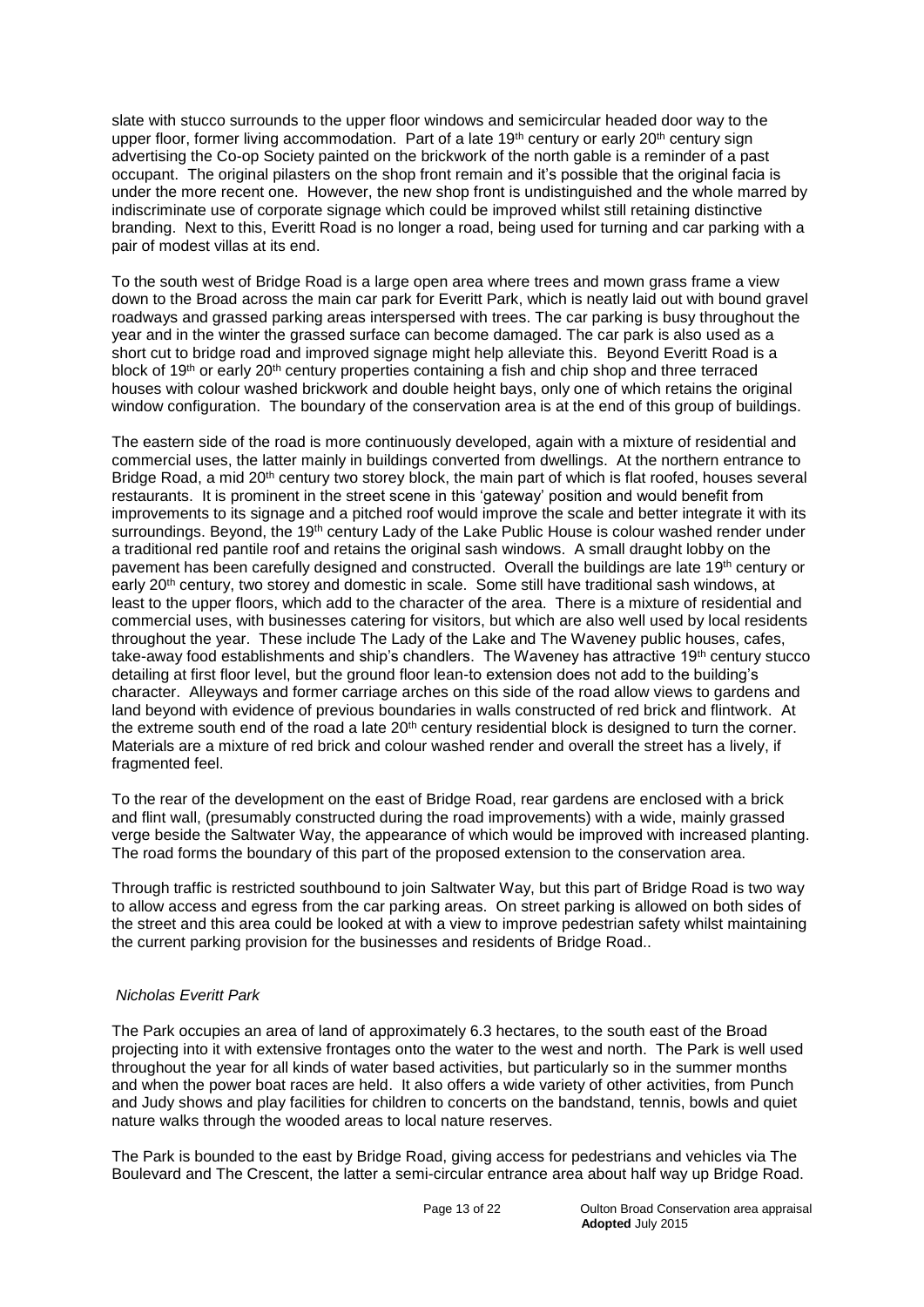slate with stucco surrounds to the upper floor windows and semicircular headed door way to the upper floor, former living accommodation. Part of a late 19<sup>th</sup> century or early 20<sup>th</sup> century sign advertising the Co-op Society painted on the brickwork of the north gable is a reminder of a past occupant. The original pilasters on the shop front remain and it's possible that the original facia is under the more recent one. However, the new shop front is undistinguished and the whole marred by indiscriminate use of corporate signage which could be improved whilst still retaining distinctive branding. Next to this, Everitt Road is no longer a road, being used for turning and car parking with a pair of modest villas at its end.

To the south west of Bridge Road is a large open area where trees and mown grass frame a view down to the Broad across the main car park for Everitt Park, which is neatly laid out with bound gravel roadways and grassed parking areas interspersed with trees. The car parking is busy throughout the year and in the winter the grassed surface can become damaged. The car park is also used as a short cut to bridge road and improved signage might help alleviate this. Beyond Everitt Road is a block of 19<sup>th</sup> or early 20<sup>th</sup> century properties containing a fish and chip shop and three terraced houses with colour washed brickwork and double height bays, only one of which retains the original window configuration. The boundary of the conservation area is at the end of this group of buildings.

The eastern side of the road is more continuously developed, again with a mixture of residential and commercial uses, the latter mainly in buildings converted from dwellings. At the northern entrance to Bridge Road, a mid 20<sup>th</sup> century two storey block, the main part of which is flat roofed, houses several restaurants. It is prominent in the street scene in this 'gateway' position and would benefit from improvements to its signage and a pitched roof would improve the scale and better integrate it with its surroundings. Beyond, the 19<sup>th</sup> century Lady of the Lake Public House is colour washed render under a traditional red pantile roof and retains the original sash windows. A small draught lobby on the pavement has been carefully designed and constructed. Overall the buildings are late 19<sup>th</sup> century or early 20<sup>th</sup> century, two storey and domestic in scale. Some still have traditional sash windows, at least to the upper floors, which add to the character of the area. There is a mixture of residential and commercial uses, with businesses catering for visitors, but which are also well used by local residents throughout the year. These include The Lady of the Lake and The Waveney public houses, cafes, take-away food establishments and ship's chandlers. The Waveney has attractive 19<sup>th</sup> century stucco detailing at first floor level, but the ground floor lean-to extension does not add to the building's character. Alleyways and former carriage arches on this side of the road allow views to gardens and land beyond with evidence of previous boundaries in walls constructed of red brick and flintwork. At the extreme south end of the road a late  $20<sup>th</sup>$  century residential block is designed to turn the corner. Materials are a mixture of red brick and colour washed render and overall the street has a lively, if fragmented feel.

To the rear of the development on the east of Bridge Road, rear gardens are enclosed with a brick and flint wall, (presumably constructed during the road improvements) with a wide, mainly grassed verge beside the Saltwater Way, the appearance of which would be improved with increased planting. The road forms the boundary of this part of the proposed extension to the conservation area.

Through traffic is restricted southbound to join Saltwater Way, but this part of Bridge Road is two way to allow access and egress from the car parking areas. On street parking is allowed on both sides of the street and this area could be looked at with a view to improve pedestrian safety whilst maintaining the current parking provision for the businesses and residents of Bridge Road..

#### *Nicholas Everitt Park*

The Park occupies an area of land of approximately 6.3 hectares, to the south east of the Broad projecting into it with extensive frontages onto the water to the west and north. The Park is well used throughout the year for all kinds of water based activities, but particularly so in the summer months and when the power boat races are held. It also offers a wide variety of other activities, from Punch and Judy shows and play facilities for children to concerts on the bandstand, tennis, bowls and quiet nature walks through the wooded areas to local nature reserves.

The Park is bounded to the east by Bridge Road, giving access for pedestrians and vehicles via The Boulevard and The Crescent, the latter a semi-circular entrance area about half way up Bridge Road.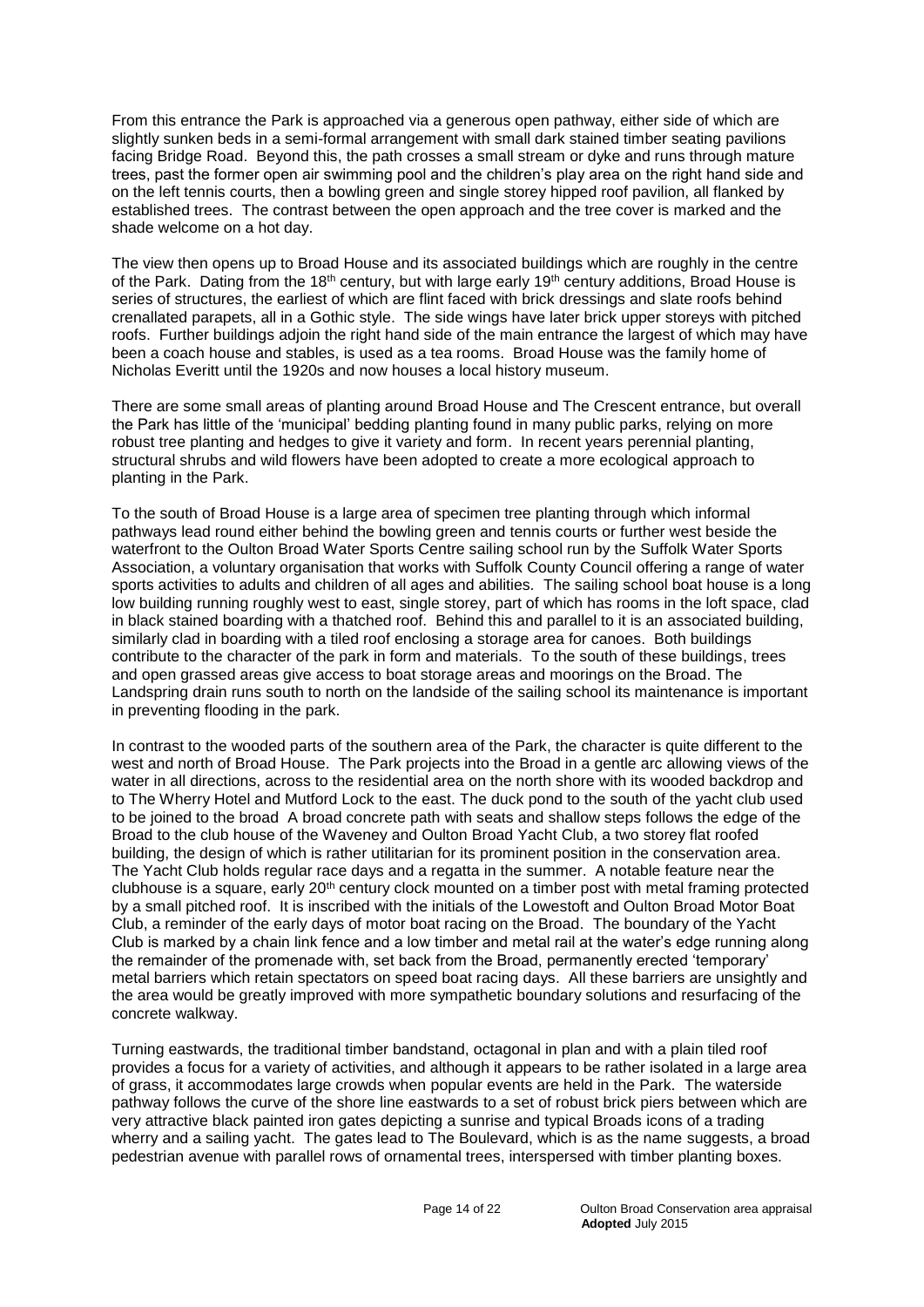From this entrance the Park is approached via a generous open pathway, either side of which are slightly sunken beds in a semi-formal arrangement with small dark stained timber seating pavilions facing Bridge Road. Beyond this, the path crosses a small stream or dyke and runs through mature trees, past the former open air swimming pool and the children's play area on the right hand side and on the left tennis courts, then a bowling green and single storey hipped roof pavilion, all flanked by established trees. The contrast between the open approach and the tree cover is marked and the shade welcome on a hot day.

The view then opens up to Broad House and its associated buildings which are roughly in the centre of the Park. Dating from the 18<sup>th</sup> century, but with large early 19<sup>th</sup> century additions, Broad House is series of structures, the earliest of which are flint faced with brick dressings and slate roofs behind crenallated parapets, all in a Gothic style. The side wings have later brick upper storeys with pitched roofs. Further buildings adjoin the right hand side of the main entrance the largest of which may have been a coach house and stables, is used as a tea rooms. Broad House was the family home of Nicholas Everitt until the 1920s and now houses a local history museum.

There are some small areas of planting around Broad House and The Crescent entrance, but overall the Park has little of the 'municipal' bedding planting found in many public parks, relying on more robust tree planting and hedges to give it variety and form. In recent years perennial planting, structural shrubs and wild flowers have been adopted to create a more ecological approach to planting in the Park.

To the south of Broad House is a large area of specimen tree planting through which informal pathways lead round either behind the bowling green and tennis courts or further west beside the waterfront to the Oulton Broad Water Sports Centre sailing school run by the Suffolk Water Sports Association, a voluntary organisation that works with Suffolk County Council offering a range of water sports activities to adults and children of all ages and abilities*.* The sailing school boat house is a long low building running roughly west to east, single storey, part of which has rooms in the loft space, clad in black stained boarding with a thatched roof. Behind this and parallel to it is an associated building, similarly clad in boarding with a tiled roof enclosing a storage area for canoes. Both buildings contribute to the character of the park in form and materials. To the south of these buildings, trees and open grassed areas give access to boat storage areas and moorings on the Broad. The Landspring drain runs south to north on the landside of the sailing school its maintenance is important in preventing flooding in the park.

In contrast to the wooded parts of the southern area of the Park, the character is quite different to the west and north of Broad House. The Park projects into the Broad in a gentle arc allowing views of the water in all directions, across to the residential area on the north shore with its wooded backdrop and to The Wherry Hotel and Mutford Lock to the east. The duck pond to the south of the yacht club used to be joined to the broad A broad concrete path with seats and shallow steps follows the edge of the Broad to the club house of the Waveney and Oulton Broad Yacht Club, a two storey flat roofed building, the design of which is rather utilitarian for its prominent position in the conservation area. The Yacht Club holds regular race days and a regatta in the summer. A notable feature near the clubhouse is a square, early 20th century clock mounted on a timber post with metal framing protected by a small pitched roof. It is inscribed with the initials of the Lowestoft and Oulton Broad Motor Boat Club, a reminder of the early days of motor boat racing on the Broad. The boundary of the Yacht Club is marked by a chain link fence and a low timber and metal rail at the water's edge running along the remainder of the promenade with, set back from the Broad, permanently erected 'temporary' metal barriers which retain spectators on speed boat racing days. All these barriers are unsightly and the area would be greatly improved with more sympathetic boundary solutions and resurfacing of the concrete walkway.

Turning eastwards, the traditional timber bandstand, octagonal in plan and with a plain tiled roof provides a focus for a variety of activities, and although it appears to be rather isolated in a large area of grass, it accommodates large crowds when popular events are held in the Park*.* The waterside pathway follows the curve of the shore line eastwards to a set of robust brick piers between which are very attractive black painted iron gates depicting a sunrise and typical Broads icons of a trading wherry and a sailing yacht. The gates lead to The Boulevard, which is as the name suggests, a broad pedestrian avenue with parallel rows of ornamental trees, interspersed with timber planting boxes.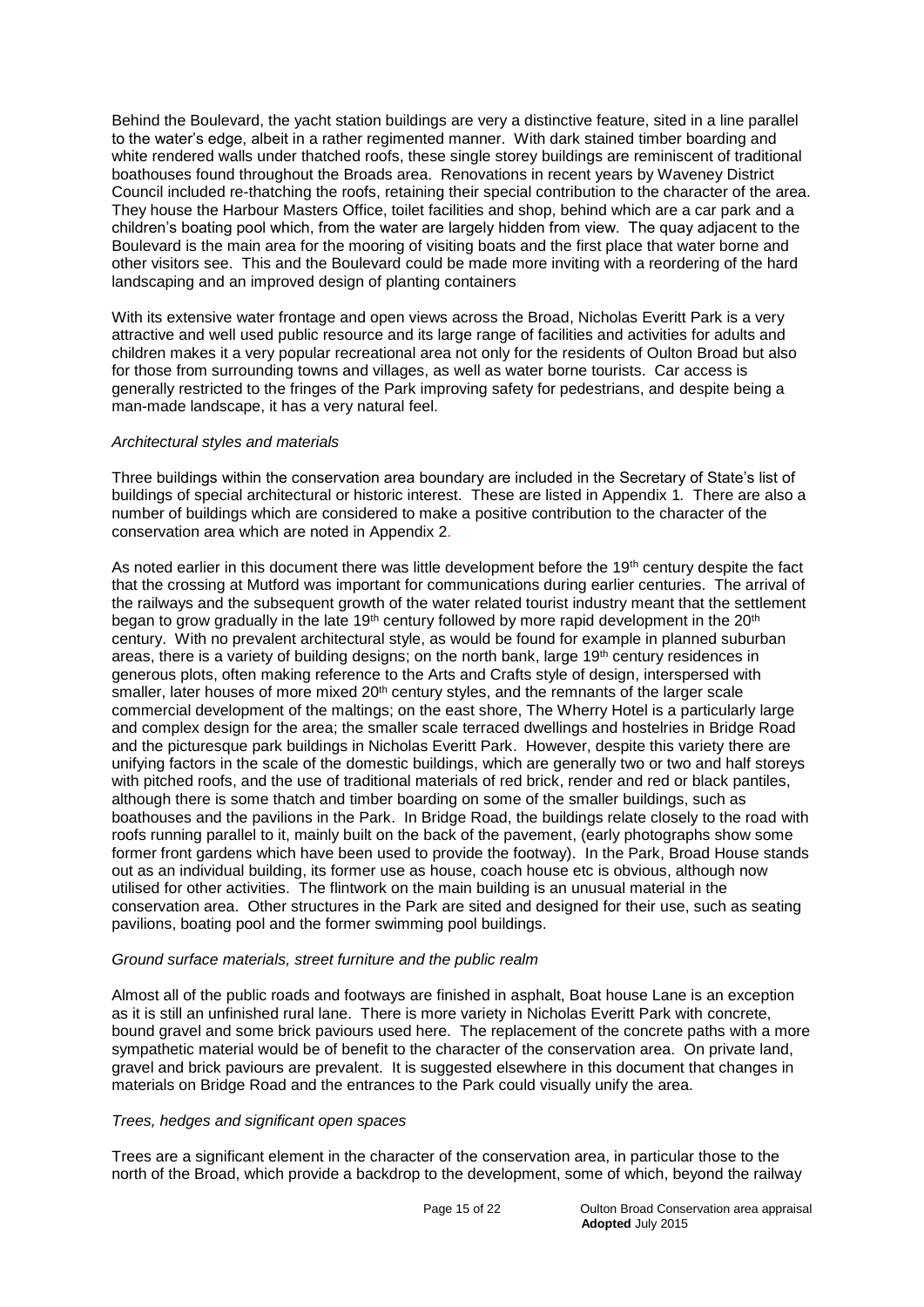Behind the Boulevard, the yacht station buildings are very a distinctive feature, sited in a line parallel to the water's edge, albeit in a rather regimented manner. With dark stained timber boarding and white rendered walls under thatched roofs, these single storey buildings are reminiscent of traditional boathouses found throughout the Broads area. Renovations in recent years by Waveney District Council included re-thatching the roofs, retaining their special contribution to the character of the area. They house the Harbour Masters Office, toilet facilities and shop, behind which are a car park and a children's boating pool which, from the water are largely hidden from view. The quay adjacent to the Boulevard is the main area for the mooring of visiting boats and the first place that water borne and other visitors see. This and the Boulevard could be made more inviting with a reordering of the hard landscaping and an improved design of planting containers

With its extensive water frontage and open views across the Broad, Nicholas Everitt Park is a very attractive and well used public resource and its large range of facilities and activities for adults and children makes it a very popular recreational area not only for the residents of Oulton Broad but also for those from surrounding towns and villages, as well as water borne tourists. Car access is generally restricted to the fringes of the Park improving safety for pedestrians, and despite being a man-made landscape, it has a very natural feel.

#### *Architectural styles and materials*

Three buildings within the conservation area boundary are included in the Secretary of State's list of buildings of special architectural or historic interest. These are listed in Appendix 1*.* There are also a number of buildings which are considered to make a positive contribution to the character of the conservation area which are noted in Appendix 2.

As noted earlier in this document there was little development before the 19th century despite the fact that the crossing at Mutford was important for communications during earlier centuries. The arrival of the railways and the subsequent growth of the water related tourist industry meant that the settlement began to grow gradually in the late 19<sup>th</sup> century followed by more rapid development in the 20<sup>th</sup> century. With no prevalent architectural style, as would be found for example in planned suburban areas, there is a variety of building designs; on the north bank, large 19<sup>th</sup> century residences in generous plots, often making reference to the Arts and Crafts style of design, interspersed with smaller, later houses of more mixed  $20<sup>th</sup>$  century styles, and the remnants of the larger scale commercial development of the maltings; on the east shore, The Wherry Hotel is a particularly large and complex design for the area; the smaller scale terraced dwellings and hostelries in Bridge Road and the picturesque park buildings in Nicholas Everitt Park. However, despite this variety there are unifying factors in the scale of the domestic buildings, which are generally two or two and half storeys with pitched roofs, and the use of traditional materials of red brick, render and red or black pantiles, although there is some thatch and timber boarding on some of the smaller buildings, such as boathouses and the pavilions in the Park. In Bridge Road, the buildings relate closely to the road with roofs running parallel to it, mainly built on the back of the pavement, (early photographs show some former front gardens which have been used to provide the footway). In the Park, Broad House stands out as an individual building, its former use as house, coach house etc is obvious, although now utilised for other activities. The flintwork on the main building is an unusual material in the conservation area. Other structures in the Park are sited and designed for their use, such as seating pavilions, boating pool and the former swimming pool buildings.

#### *Ground surface materials, street furniture and the public realm*

Almost all of the public roads and footways are finished in asphalt, Boat house Lane is an exception as it is still an unfinished rural lane. There is more variety in Nicholas Everitt Park with concrete, bound gravel and some brick paviours used here. The replacement of the concrete paths with a more sympathetic material would be of benefit to the character of the conservation area. On private land, gravel and brick paviours are prevalent. It is suggested elsewhere in this document that changes in materials on Bridge Road and the entrances to the Park could visually unify the area.

#### *Trees, hedges and significant open spaces*

Trees are a significant element in the character of the conservation area, in particular those to the north of the Broad, which provide a backdrop to the development, some of which, beyond the railway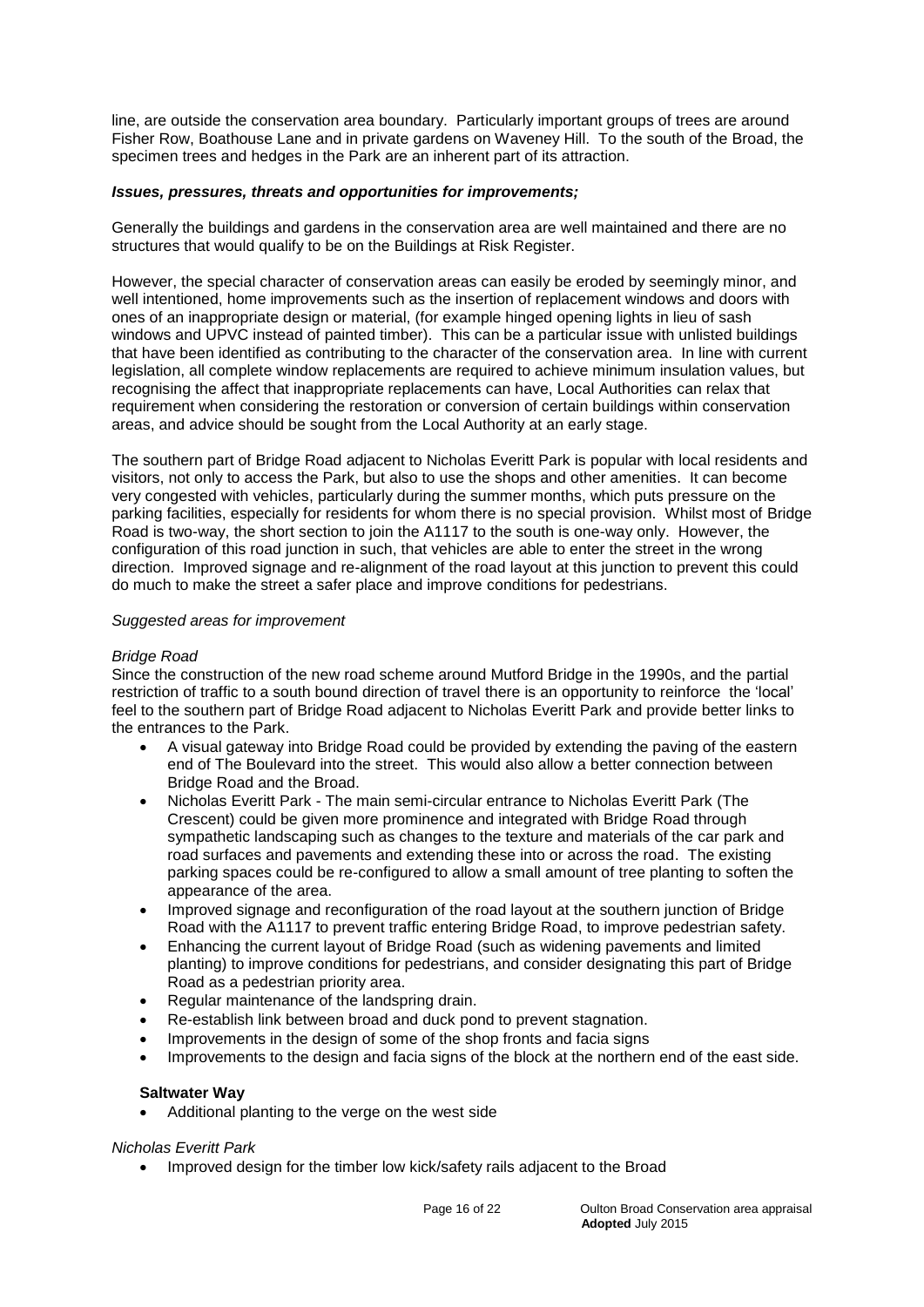line, are outside the conservation area boundary. Particularly important groups of trees are around Fisher Row, Boathouse Lane and in private gardens on Waveney Hill. To the south of the Broad, the specimen trees and hedges in the Park are an inherent part of its attraction.

#### *Issues, pressures, threats and opportunities for improvements;*

Generally the buildings and gardens in the conservation area are well maintained and there are no structures that would qualify to be on the Buildings at Risk Register.

However, the special character of conservation areas can easily be eroded by seemingly minor, and well intentioned, home improvements such as the insertion of replacement windows and doors with ones of an inappropriate design or material, (for example hinged opening lights in lieu of sash windows and UPVC instead of painted timber). This can be a particular issue with unlisted buildings that have been identified as contributing to the character of the conservation area. In line with current legislation, all complete window replacements are required to achieve minimum insulation values, but recognising the affect that inappropriate replacements can have, Local Authorities can relax that requirement when considering the restoration or conversion of certain buildings within conservation areas, and advice should be sought from the Local Authority at an early stage.

The southern part of Bridge Road adjacent to Nicholas Everitt Park is popular with local residents and visitors, not only to access the Park, but also to use the shops and other amenities. It can become very congested with vehicles, particularly during the summer months, which puts pressure on the parking facilities, especially for residents for whom there is no special provision. Whilst most of Bridge Road is two-way, the short section to join the A1117 to the south is one-way only. However, the configuration of this road junction in such, that vehicles are able to enter the street in the wrong direction. Improved signage and re-alignment of the road layout at this junction to prevent this could do much to make the street a safer place and improve conditions for pedestrians.

#### *Suggested areas for improvement*

#### *Bridge Road*

Since the construction of the new road scheme around Mutford Bridge in the 1990s, and the partial restriction of traffic to a south bound direction of travel there is an opportunity to reinforce the 'local' feel to the southern part of Bridge Road adjacent to Nicholas Everitt Park and provide better links to the entrances to the Park.

- A visual gateway into Bridge Road could be provided by extending the paving of the eastern end of The Boulevard into the street. This would also allow a better connection between Bridge Road and the Broad.
- Nicholas Everitt Park The main semi-circular entrance to Nicholas Everitt Park (The Crescent) could be given more prominence and integrated with Bridge Road through sympathetic landscaping such as changes to the texture and materials of the car park and road surfaces and pavements and extending these into or across the road. The existing parking spaces could be re-configured to allow a small amount of tree planting to soften the appearance of the area.
- Improved signage and reconfiguration of the road layout at the southern junction of Bridge Road with the A1117 to prevent traffic entering Bridge Road, to improve pedestrian safety.
- Enhancing the current layout of Bridge Road (such as widening pavements and limited planting) to improve conditions for pedestrians, and consider designating this part of Bridge Road as a pedestrian priority area.
- Regular maintenance of the landspring drain.
- Re-establish link between broad and duck pond to prevent stagnation.
- Improvements in the design of some of the shop fronts and facia signs
- Improvements to the design and facia signs of the block at the northern end of the east side.

#### **Saltwater Way**

Additional planting to the verge on the west side

#### *Nicholas Everitt Park*

• Improved design for the timber low kick/safety rails adjacent to the Broad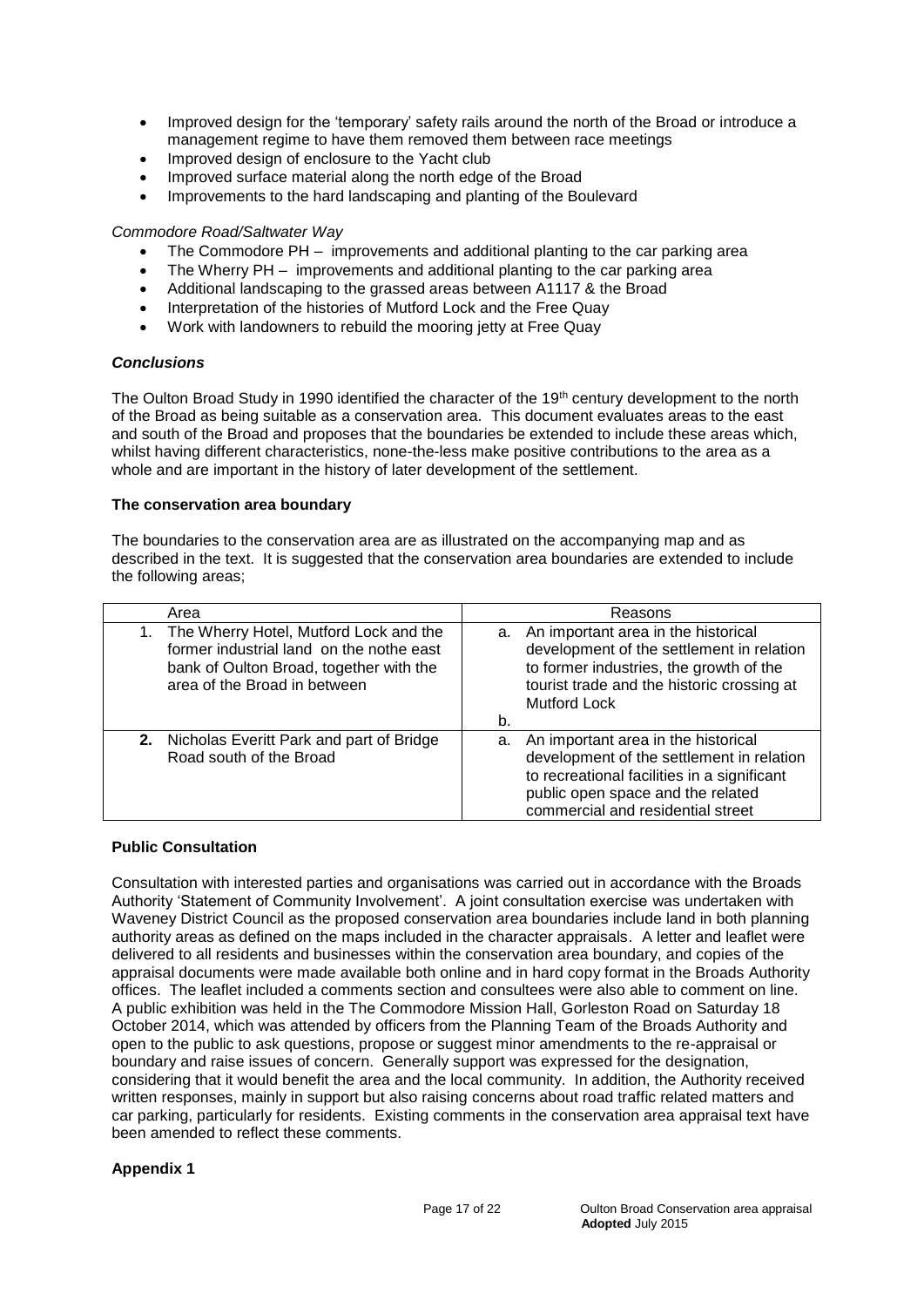- Improved design for the 'temporary' safety rails around the north of the Broad or introduce a management regime to have them removed them between race meetings
- Improved design of enclosure to the Yacht club
- Improved surface material along the north edge of the Broad
- Improvements to the hard landscaping and planting of the Boulevard

# *Commodore Road/Saltwater Way*

- The Commodore PH improvements and additional planting to the car parking area
- The Wherry PH improvements and additional planting to the car parking area
- Additional landscaping to the grassed areas between A1117 & the Broad
- Interpretation of the histories of Mutford Lock and the Free Quay
- Work with landowners to rebuild the mooring jetty at Free Quay

#### *Conclusions*

The Oulton Broad Study in 1990 identified the character of the 19<sup>th</sup> century development to the north of the Broad as being suitable as a conservation area. This document evaluates areas to the east and south of the Broad and proposes that the boundaries be extended to include these areas which, whilst having different characteristics, none-the-less make positive contributions to the area as a whole and are important in the history of later development of the settlement.

#### **The conservation area boundary**

The boundaries to the conservation area are as illustrated on the accompanying map and as described in the text. It is suggested that the conservation area boundaries are extended to include the following areas;

| Area                                                                                                                                                             | Reasons                                                                                                                                                                                                      |
|------------------------------------------------------------------------------------------------------------------------------------------------------------------|--------------------------------------------------------------------------------------------------------------------------------------------------------------------------------------------------------------|
| 1. The Wherry Hotel, Mutford Lock and the<br>former industrial land on the nothe east<br>bank of Oulton Broad, together with the<br>area of the Broad in between | a. An important area in the historical<br>development of the settlement in relation<br>to former industries, the growth of the<br>tourist trade and the historic crossing at<br><b>Mutford Lock</b>          |
|                                                                                                                                                                  | b.                                                                                                                                                                                                           |
| 2. Nicholas Everitt Park and part of Bridge<br>Road south of the Broad                                                                                           | a. An important area in the historical<br>development of the settlement in relation<br>to recreational facilities in a significant<br>public open space and the related<br>commercial and residential street |

# **Public Consultation**

Consultation with interested parties and organisations was carried out in accordance with the Broads Authority 'Statement of Community Involvement'. A joint consultation exercise was undertaken with Waveney District Council as the proposed conservation area boundaries include land in both planning authority areas as defined on the maps included in the character appraisals. A letter and leaflet were delivered to all residents and businesses within the conservation area boundary, and copies of the appraisal documents were made available both online and in hard copy format in the Broads Authority offices. The leaflet included a comments section and consultees were also able to comment on line. A public exhibition was held in the The Commodore Mission Hall, Gorleston Road on Saturday 18 October 2014, which was attended by officers from the Planning Team of the Broads Authority and open to the public to ask questions, propose or suggest minor amendments to the re-appraisal or boundary and raise issues of concern. Generally support was expressed for the designation, considering that it would benefit the area and the local community. In addition, the Authority received written responses, mainly in support but also raising concerns about road traffic related matters and car parking, particularly for residents. Existing comments in the conservation area appraisal text have been amended to reflect these comments.

# **Appendix 1**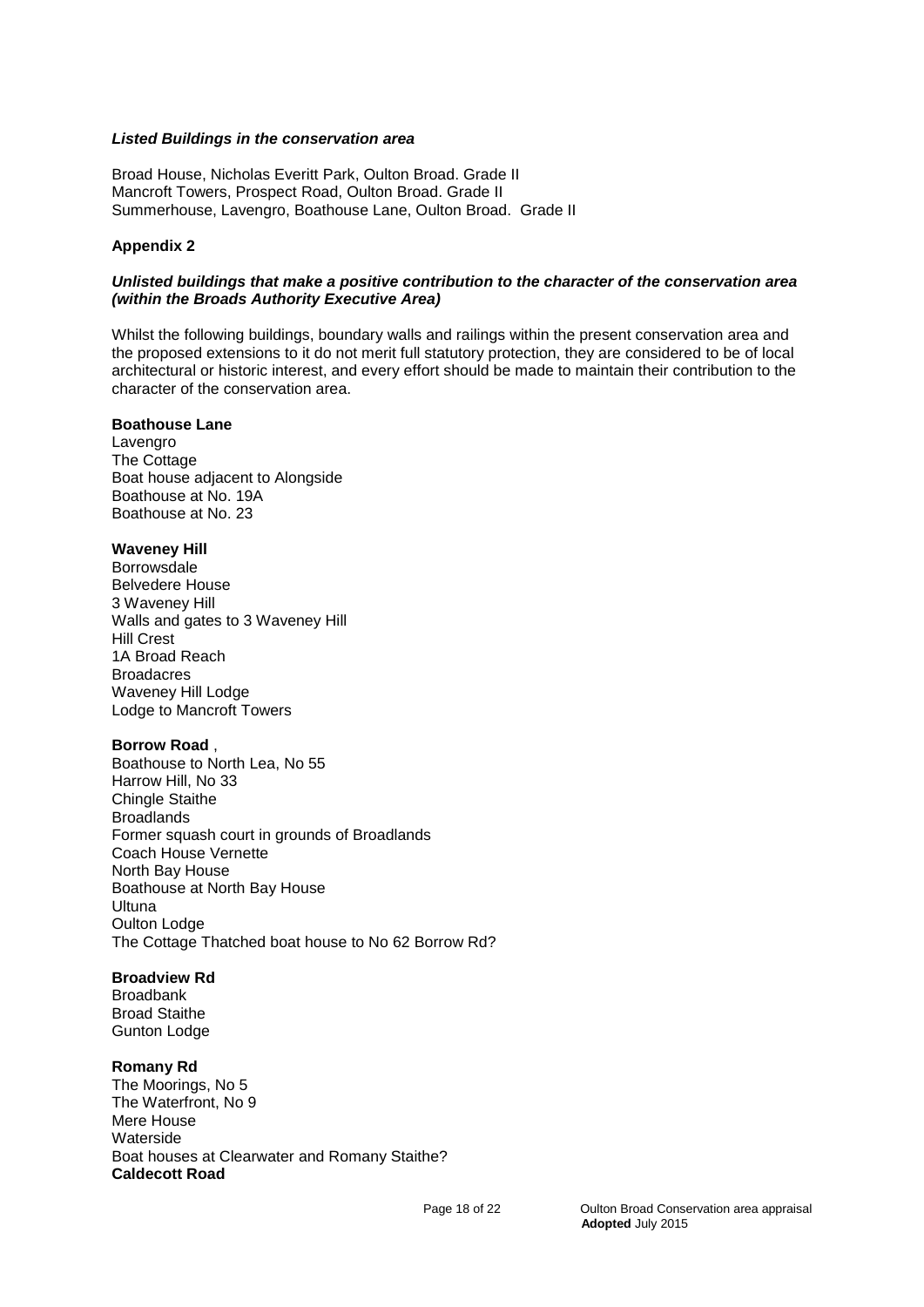#### *Listed Buildings in the conservation area*

Broad House, Nicholas Everitt Park, Oulton Broad. Grade II Mancroft Towers, Prospect Road, Oulton Broad. Grade II Summerhouse, Lavengro, Boathouse Lane, Oulton Broad. Grade II

# **Appendix 2**

#### *Unlisted buildings that make a positive contribution to the character of the conservation area (within the Broads Authority Executive Area)*

Whilst the following buildings, boundary walls and railings within the present conservation area and the proposed extensions to it do not merit full statutory protection, they are considered to be of local architectural or historic interest, and every effort should be made to maintain their contribution to the character of the conservation area.

#### **Boathouse Lane**

Lavengro The Cottage Boat house adjacent to Alongside Boathouse at No. 19A Boathouse at No. 23

#### **Waveney Hill**

Borrowsdale Belvedere House 3 Waveney Hill Walls and gates to 3 Waveney Hill Hill Crest 1A Broad Reach **Broadacres** Waveney Hill Lodge Lodge to Mancroft Towers

#### **Borrow Road** ,

Boathouse to North Lea, No 55 Harrow Hill, No 33 Chingle Staithe **Broadlands** Former squash court in grounds of Broadlands Coach House Vernette North Bay House Boathouse at North Bay House Ultuna Oulton Lodge The Cottage Thatched boat house to No 62 Borrow Rd?

# **Broadview Rd**

Broadbank Broad Staithe Gunton Lodge

#### **Romany Rd**

The Moorings, No 5 The Waterfront, No 9 Mere House **Waterside** Boat houses at Clearwater and Romany Staithe? **Caldecott Road**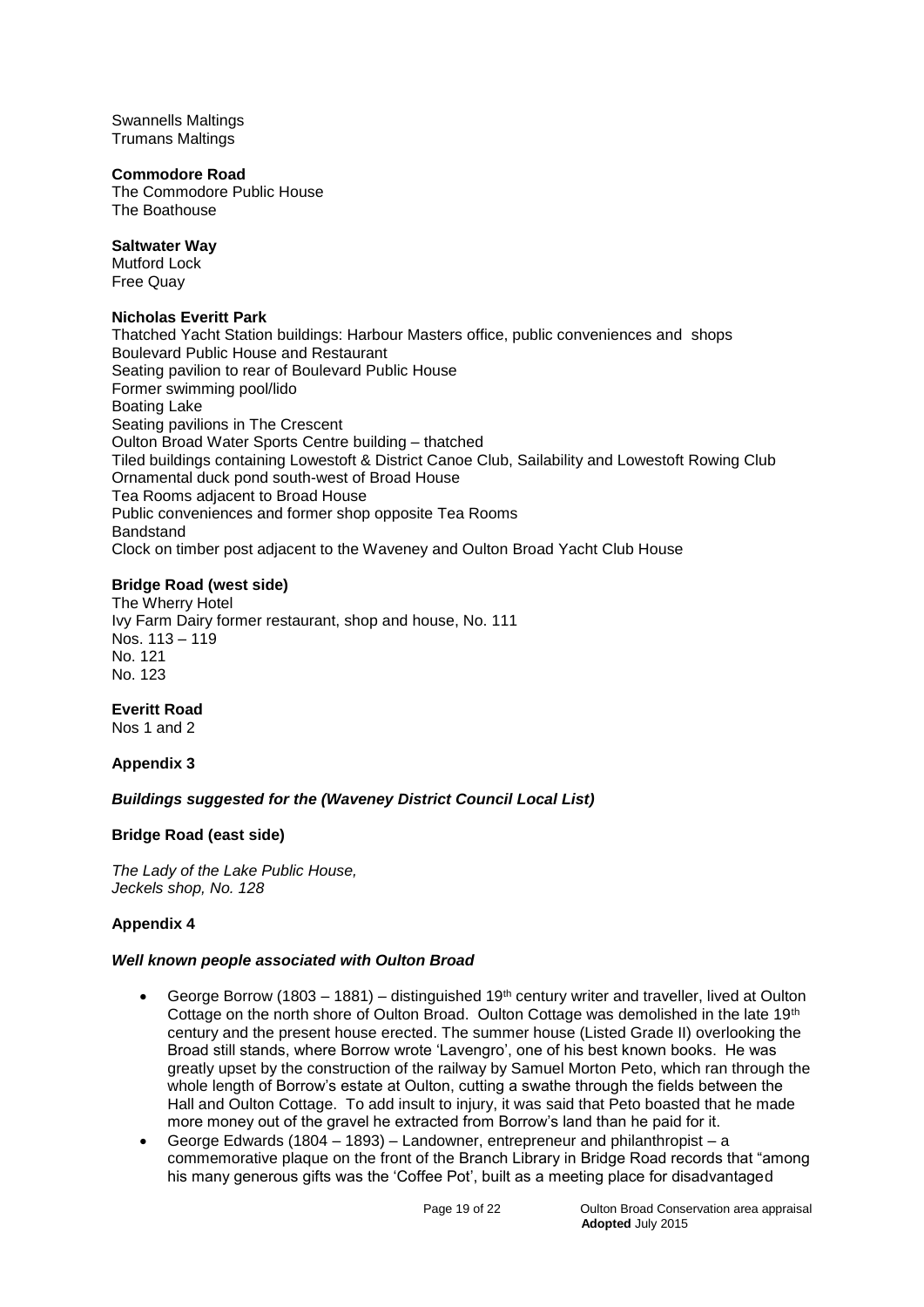Swannells Maltings Trumans Maltings

#### **Commodore Road**

The Commodore Public House The Boathouse

# **Saltwater Way**

Mutford Lock Free Quay

## **Nicholas Everitt Park**

Thatched Yacht Station buildings: Harbour Masters office, public conveniences and shops Boulevard Public House and Restaurant Seating pavilion to rear of Boulevard Public House Former swimming pool/lido Boating Lake Seating pavilions in The Crescent Oulton Broad Water Sports Centre building – thatched Tiled buildings containing Lowestoft & District Canoe Club, Sailability and Lowestoft Rowing Club Ornamental duck pond south-west of Broad House Tea Rooms adjacent to Broad House Public conveniences and former shop opposite Tea Rooms Bandstand Clock on timber post adjacent to the Waveney and Oulton Broad Yacht Club House

# **Bridge Road (west side)**

The Wherry Hotel Ivy Farm Dairy former restaurant, shop and house, No. 111 Nos. 113 – 119 No. 121 No. 123

# **Everitt Road**

Nos 1 and 2

# **Appendix 3**

# *Buildings suggested for the (Waveney District Council Local List)*

# **Bridge Road (east side)**

*The Lady of the Lake Public House, Jeckels shop, No. 128*

# **Appendix 4**

# *Well known people associated with Oulton Broad*

- George Borrow (1803 1881) distinguished 19<sup>th</sup> century writer and traveller, lived at Oulton Cottage on the north shore of Oulton Broad. Oulton Cottage was demolished in the late 19<sup>th</sup> century and the present house erected. The summer house (Listed Grade II) overlooking the Broad still stands, where Borrow wrote 'Lavengro', one of his best known books. He was greatly upset by the construction of the railway by Samuel Morton Peto, which ran through the whole length of Borrow's estate at Oulton, cutting a swathe through the fields between the Hall and Oulton Cottage. To add insult to injury, it was said that Peto boasted that he made more money out of the gravel he extracted from Borrow's land than he paid for it.
- George Edwards (1804 1893) Landowner, entrepreneur and philanthropist a commemorative plaque on the front of the Branch Library in Bridge Road records that "among his many generous gifts was the 'Coffee Pot', built as a meeting place for disadvantaged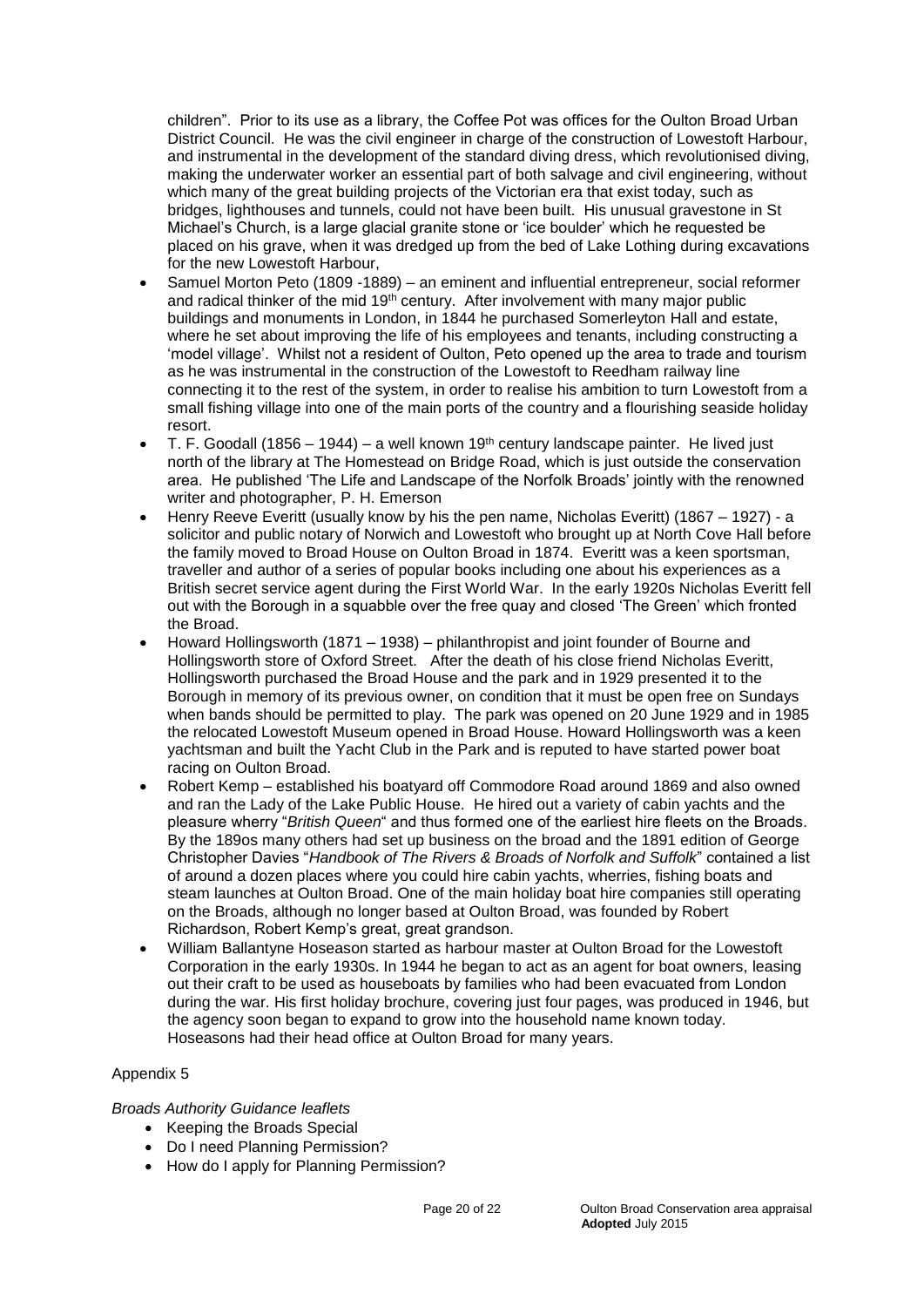children". Prior to its use as a library, the Coffee Pot was offices for the Oulton Broad Urban District Council. He was the civil engineer in charge of the construction of Lowestoft Harbour, and instrumental in the development of the standard diving dress, which revolutionised diving, making the underwater worker an essential part of both salvage and civil engineering, without which many of the great building projects of the Victorian era that exist today, such as bridges, lighthouses and tunnels, could not have been built. His unusual gravestone in St Michael's Church, is a large glacial granite stone or 'ice boulder' which he requested be placed on his grave, when it was dredged up from the bed of Lake Lothing during excavations for the new Lowestoft Harbour,

- Samuel Morton Peto (1809 -1889) an eminent and influential entrepreneur, social reformer and radical thinker of the mid 19<sup>th</sup> century. After involvement with many major public buildings and monuments in London, in 1844 he purchased Somerleyton Hall and estate, where he set about improving the life of his employees and tenants, including constructing a 'model village'. Whilst not a resident of Oulton, Peto opened up the area to trade and tourism as he was instrumental in the construction of the Lowestoft to Reedham railway line connecting it to the rest of the system, in order to realise his ambition to turn Lowestoft from a small fishing village into one of the main ports of the country and a flourishing seaside holiday resort.
- T. F. Goodall (1856 1944) a well known 19<sup>th</sup> century landscape painter. He lived just north of the library at The Homestead on Bridge Road, which is just outside the conservation area. He published 'The Life and Landscape of the Norfolk Broads' jointly with the renowned writer and photographer, P. H. Emerson
- Henry Reeve Everitt (usually know by his the pen name, Nicholas Everitt) (1867 1927) a solicitor and public notary of Norwich and Lowestoft who brought up at North Cove Hall before the family moved to Broad House on Oulton Broad in 1874. Everitt was a keen sportsman, traveller and author of a series of popular books including one about his experiences as a British secret service agent during the First World War. In the early 1920s Nicholas Everitt fell out with the Borough in a squabble over the free quay and closed 'The Green' which fronted the Broad.
- Howard Hollingsworth (1871 1938) philanthropist and joint founder of Bourne and Hollingsworth store of Oxford Street. After the death of his close friend Nicholas Everitt, Hollingsworth purchased the Broad House and the park and in 1929 presented it to the Borough in memory of its previous owner, on condition that it must be open free on Sundays when bands should be permitted to play. The park was opened on 20 June 1929 and in 1985 the relocated Lowestoft Museum opened in Broad House. Howard Hollingsworth was a keen yachtsman and built the Yacht Club in the Park and is reputed to have started power boat racing on Oulton Broad.
- Robert Kemp established his boatyard off Commodore Road around 1869 and also owned and ran the Lady of the Lake Public House. He hired out a variety of cabin yachts and the pleasure wherry "*British Queen*" and thus formed one of the earliest hire fleets on the Broads. By the 189os many others had set up business on the broad and the 1891 edition of George Christopher Davies "*Handbook of The Rivers & Broads of Norfolk and Suffolk*" contained a list of around a dozen places where you could hire cabin yachts, wherries, fishing boats and steam launches at Oulton Broad. One of the main holiday boat hire companies still operating on the Broads, although no longer based at Oulton Broad, was founded by Robert Richardson, Robert Kemp's great, great grandson.
- William Ballantyne Hoseason started as harbour master at Oulton Broad for the Lowestoft Corporation in the early 1930s. In 1944 he began to act as an agent for boat owners, leasing out their craft to be used as houseboats by families who had been evacuated from London during the war. His first holiday brochure, covering just four pages, was produced in 1946, but the agency soon began to expand to grow into the household name known today. Hoseasons had their head office at Oulton Broad for many years.

# Appendix 5

# *Broads Authority Guidance leaflets*

- Keeping the Broads Special
- Do I need Planning Permission?
- How do I apply for Planning Permission?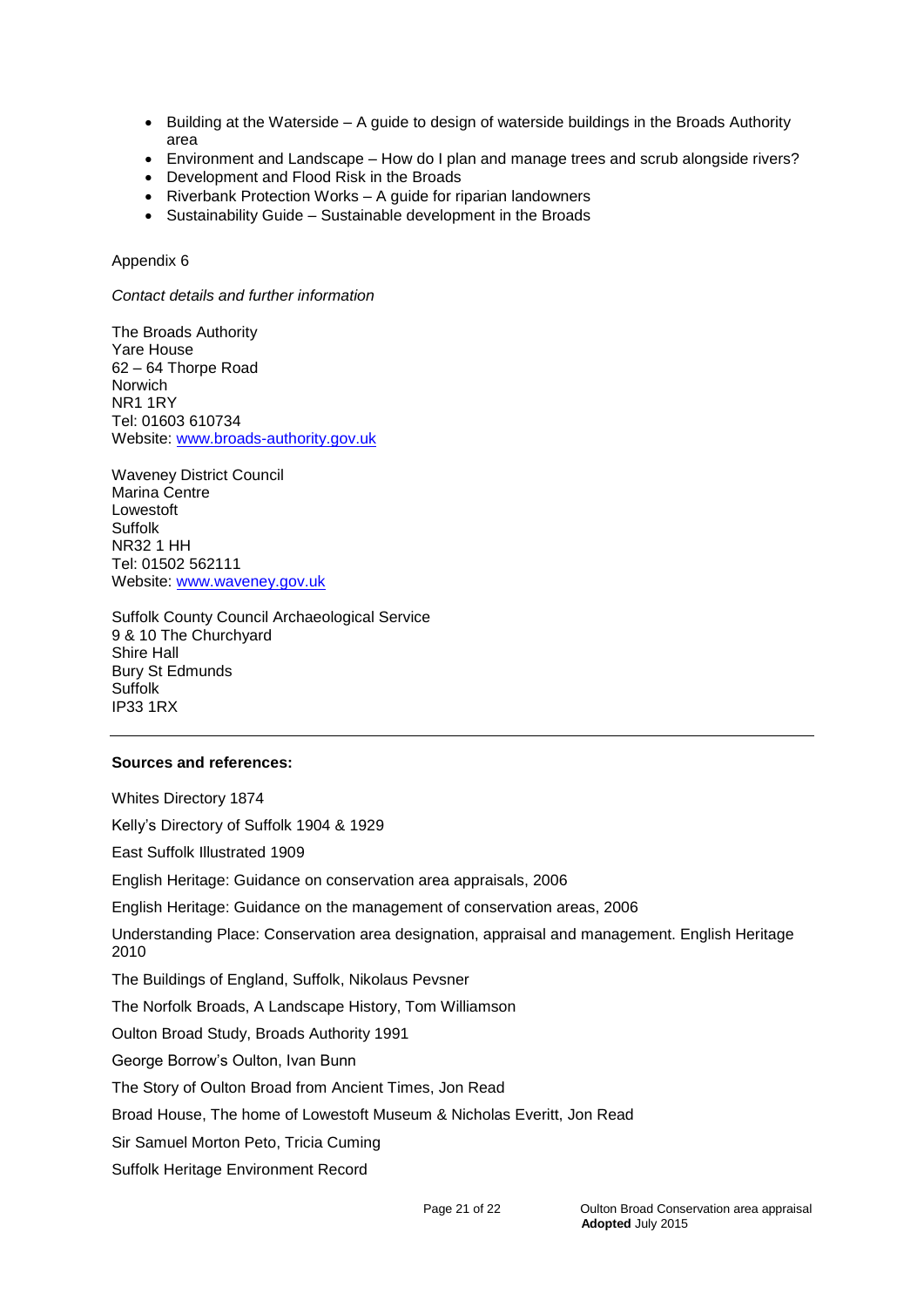- $\bullet$  Building at the Waterside A guide to design of waterside buildings in the Broads Authority area
- Environment and Landscape How do I plan and manage trees and scrub alongside rivers?
- Development and Flood Risk in the Broads
- Riverbank Protection Works A guide for riparian landowners
- Sustainability Guide Sustainable development in the Broads

# Appendix 6

*Contact details and further information*

The Broads Authority Yare House 62 – 64 Thorpe Road Norwich NR1 1RY Tel: 01603 610734 Website: [www.broads-authority.gov.uk](http://www.broads-authority.gov.uk/)

Waveney District Council Marina Centre Lowestoft Suffolk NR32 1 HH Tel: 01502 562111 Website: [www.waveney.gov.uk](http://www.waveney.gov.uk/)

Suffolk County Council Archaeological Service 9 & 10 The Churchyard Shire Hall Bury St Edmunds **Suffolk** IP33 1RX

# **Sources and references:**

Whites Directory 1874 Kelly's Directory of Suffolk 1904 & 1929 East Suffolk Illustrated 1909 English Heritage: Guidance on conservation area appraisals, 2006 English Heritage: Guidance on the management of conservation areas, 2006 Understanding Place: Conservation area designation, appraisal and management. English Heritage 2010 The Buildings of England, Suffolk, Nikolaus Pevsner The Norfolk Broads, A Landscape History, Tom Williamson Oulton Broad Study, Broads Authority 1991 George Borrow's Oulton, Ivan Bunn The Story of Oulton Broad from Ancient Times, Jon Read Broad House, The home of Lowestoft Museum & Nicholas Everitt, Jon Read Sir Samuel Morton Peto, Tricia Cuming

Suffolk Heritage Environment Record